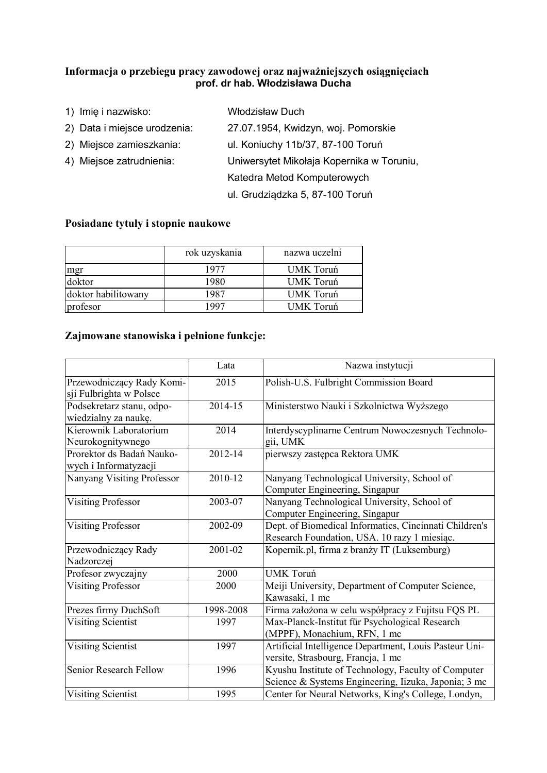## Informacja o przebiegu pracy zawodowej oraz najważniejszych osiągnięciach prof. dr hab. Włodzisława Ducha

1) Imię i nazwisko: Włodzisław Duch 2) Data i miejsce urodzenia: 27.07.1954, Kwidzyn, woj. Pomorskie 2) Miejsce zamieszkania: ul. Koniuchy 11b/37, 87-100 Toruń 4) Miejsce zatrudnienia: Uniwersytet Mikołaja Kopernika w Toruniu, Katedra Metod Komputerowych ul. Grudziądzka 5, 87-100 Toruń

## Posiadane tytuły i stopnie naukowe

|                     | rok uzyskania | nazwa uczelni |
|---------------------|---------------|---------------|
|                     | 1977          | UMK Toruń     |
| mgr<br>doktor       | 1980          | UMK Toruń     |
| doktor habilitowany | 1987          | UMK Toruń     |
| profesor            | 1997          | UMK Toruń     |

## Zajmowane stanowiska i pełnione funkcje:

|                                                      | Lata      | Nazwa instytucji                                                                                            |
|------------------------------------------------------|-----------|-------------------------------------------------------------------------------------------------------------|
| Przewodniczący Rady Komi-<br>sji Fulbrighta w Polsce | 2015      | Polish-U.S. Fulbright Commission Board                                                                      |
| Podsekretarz stanu, odpo-<br>wiedzialny za naukę.    | 2014-15   | Ministerstwo Nauki i Szkolnictwa Wyższego                                                                   |
| Kierownik Laboratorium<br>Neurokognitywnego          | 2014      | Interdyscyplinarne Centrum Nowoczesnych Technolo-<br>gii, UMK                                               |
| Prorektor ds Badań Nauko-<br>wych i Informatyzacji   | 2012-14   | pierwszy zastępca Rektora UMK                                                                               |
| Nanyang Visiting Professor                           | 2010-12   | Nanyang Technological University, School of<br>Computer Engineering, Singapur                               |
| <b>Visiting Professor</b>                            | 2003-07   | Nanyang Technological University, School of<br>Computer Engineering, Singapur                               |
| <b>Visiting Professor</b>                            | 2002-09   | Dept. of Biomedical Informatics, Cincinnati Children's<br>Research Foundation, USA. 10 razy 1 miesiąc.      |
| Przewodniczący Rady<br>Nadzorczej                    | 2001-02   | Kopernik.pl, firma z branży IT (Luksemburg)                                                                 |
| Profesor zwyczajny                                   | 2000      | <b>UMK Toruń</b>                                                                                            |
| <b>Visiting Professor</b>                            | 2000      | Meiji University, Department of Computer Science,<br>Kawasaki, 1 mc                                         |
| Prezes firmy DuchSoft                                | 1998-2008 | Firma założona w celu współpracy z Fujitsu FQS PL                                                           |
| Visiting Scientist                                   | 1997      | Max-Planck-Institut für Psychological Research<br>(MPPF), Monachium, RFN, 1 mc                              |
| Visiting Scientist                                   | 1997      | Artificial Intelligence Department, Louis Pasteur Uni-<br>versite, Strasbourg, Francja, 1 mc                |
| Senior Research Fellow                               | 1996      | Kyushu Institute of Technology, Faculty of Computer<br>Science & Systems Engineering, Iizuka, Japonia; 3 mc |
| Visiting Scientist                                   | 1995      | Center for Neural Networks, King's College, Londyn,                                                         |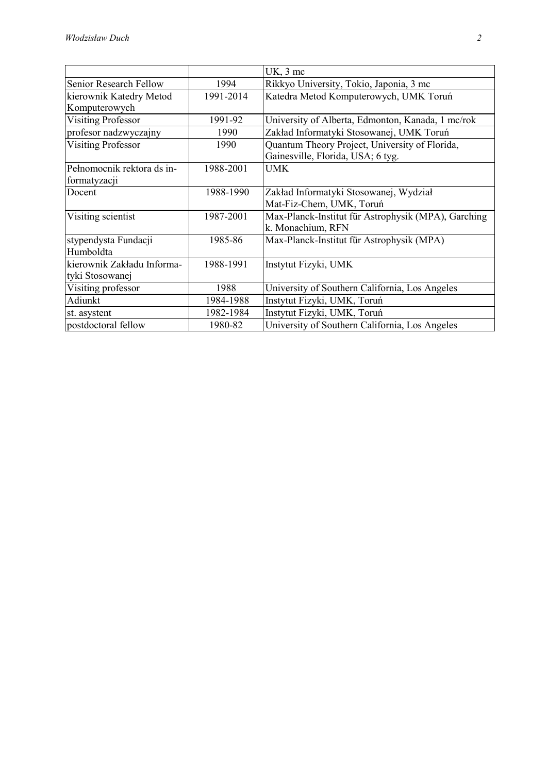|                               |           | UK, 3 mc                                            |
|-------------------------------|-----------|-----------------------------------------------------|
| <b>Senior Research Fellow</b> | 1994      | Rikkyo University, Tokio, Japonia, 3 mc             |
| kierownik Katedry Metod       | 1991-2014 | Katedra Metod Komputerowych, UMK Toruń              |
| Komputerowych                 |           |                                                     |
| <b>Visiting Professor</b>     | 1991-92   | University of Alberta, Edmonton, Kanada, 1 mc/rok   |
| profesor nadzwyczajny         | 1990      | Zakład Informatyki Stosowanej, UMK Toruń            |
| <b>Visiting Professor</b>     | 1990      | Quantum Theory Project, University of Florida,      |
|                               |           | Gainesville, Florida, USA; 6 tyg.                   |
| Pełnomocnik rektora ds in-    | 1988-2001 | <b>UMK</b>                                          |
| formatyzacji                  |           |                                                     |
| Docent                        | 1988-1990 | Zakład Informatyki Stosowanej, Wydział              |
|                               |           | Mat-Fiz-Chem, UMK, Toruń                            |
| Visiting scientist            | 1987-2001 | Max-Planck-Institut für Astrophysik (MPA), Garching |
|                               |           | k. Monachium, RFN                                   |
| stypendysta Fundacji          | 1985-86   | Max-Planck-Institut für Astrophysik (MPA)           |
| Humboldta                     |           |                                                     |
| kierownik Zakładu Informa-    | 1988-1991 | Instytut Fizyki, UMK                                |
| tyki Stosowanej               |           |                                                     |
| Visiting professor            | 1988      | University of Southern California, Los Angeles      |
| Adiunkt                       | 1984-1988 | Instytut Fizyki, UMK, Toruń                         |
| st. asystent                  | 1982-1984 | Instytut Fizyki, UMK, Toruń                         |
| postdoctoral fellow           | 1980-82   | University of Southern California, Los Angeles      |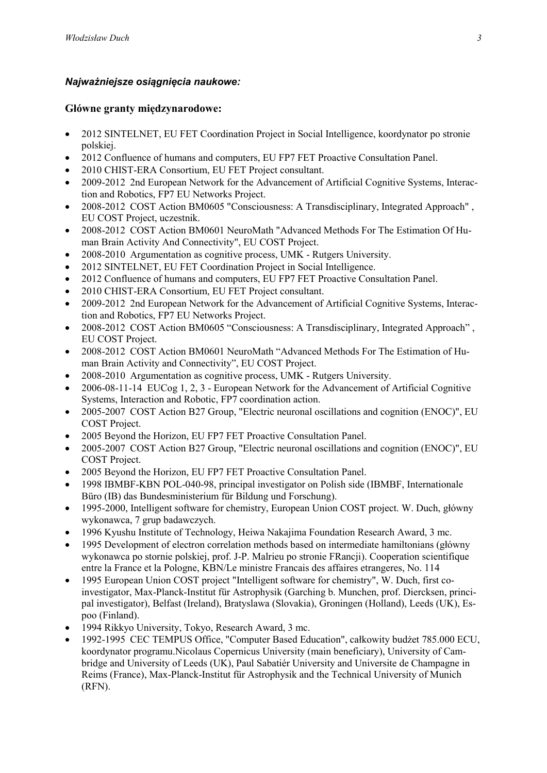# *Najważniejsze osiągnięcia naukowe:*

## Główne granty międzynarodowe:

- 2012 SINTELNET, EU FET Coordination Project in Social Intelligence, koordynator po stronie polskiej.
- 2012 Confluence of humans and computers, EU FP7 FET Proactive Consultation Panel.
- 2010 CHIST-ERA Consortium, EU FET Project consultant.
- 2009-2012 2nd European Network for the Advancement of Artificial Cognitive Systems, Interaction and Robotics, FP7 EU Networks Project.
- 2008-2012 COST Action BM0605 "Consciousness: A Transdisciplinary, Integrated Approach", EU COST Project, uczestnik.
- 2008-2012 COST Action BM0601 NeuroMath "Advanced Methods For The Estimation Of Human Brain Activity And Connectivity", EU COST Project.
- 2008-2010 Argumentation as cognitive process, UMK Rutgers University.
- 2012 SINTELNET, EU FET Coordination Project in Social Intelligence.
- 2012 Confluence of humans and computers, EU FP7 FET Proactive Consultation Panel.
- 2010 CHIST-ERA Consortium, EU FET Project consultant.
- 2009-2012 2nd European Network for the Advancement of Artificial Cognitive Systems, Interaction and Robotics, FP7 EU Networks Project.
- 2008-2012 COST Action BM0605 "Consciousness: A Transdisciplinary, Integrated Approach", EU COST Project.
- 2008-2012 COST Action BM0601 NeuroMath "Advanced Methods For The Estimation of Human Brain Activity and Connectivity", EU COST Project.
- 2008-2010 Argumentation as cognitive process, UMK Rutgers University.
- 2006-08-11-14 EUCog 1, 2, 3 European Network for the Advancement of Artificial Cognitive Systems, Interaction and Robotic, FP7 coordination action.
- 2005-2007 COST Action B27 Group, "Electric neuronal oscillations and cognition (ENOC)", EU COST Project.
- 2005 Beyond the Horizon, EU FP7 FET Proactive Consultation Panel.
- 2005-2007 COST Action B27 Group, "Electric neuronal oscillations and cognition (ENOC)", EU COST Project.
- 2005 Beyond the Horizon, EU FP7 FET Proactive Consultation Panel.
- 1998 IBMBF-KBN POL-040-98, principal investigator on Polish side (IBMBF, Internationale Büro (IB) das Bundesministerium für Bildung und Forschung).
- 1995-2000, Intelligent software for chemistry, European Union COST project. W. Duch, główny wykonawca, 7 grup badawczych.
- 1996 Kyushu Institute of Technology, Heiwa Nakajima Foundation Research Award, 3 mc.
- 1995 Development of electron correlation methods based on intermediate hamiltonians (główny wykonawca po stornie polskiej, prof. J-P. Malrieu po stronie FRancji). Cooperation scientifique entre la France et la Pologne, KBN/Le ministre Francais des affaires etrangeres, No. 114
- 1995 European Union COST project "Intelligent software for chemistry", W. Duch, first coinvestigator, Max-Planck-Institut für Astrophysik (Garching b. Munchen, prof. Diercksen, principal investigator), Belfast (Ireland), Bratyslawa (Slovakia), Groningen (Holland), Leeds (UK), Espoo (Finland).
- 1994 Rikkyo University, Tokyo, Research Award, 3 mc.
- 1992-1995 CEC TEMPUS Office, "Computer Based Education", całkowity budżet 785.000 ECU, koordynator programu.Nicolaus Copernicus University (main beneficiary), University of Cambridge and University of Leeds (UK), Paul Sabatiér University and Universite de Champagne in Reims (France), Max-Planck-Institut für Astrophysik and the Technical University of Munich (RFN).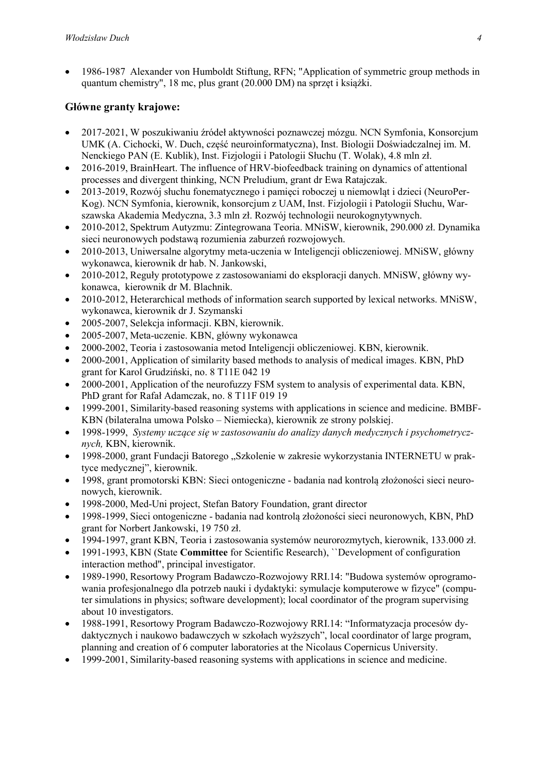1986-1987 Alexander von Humboldt Stiftung, RFN; "Application of symmetric group methods in quantum chemistry", 18 mc, plus grant (20.000 DM) na sprzęt i książki.

# Główne granty krajowe:

- 2017-2021, W poszukiwaniu źródeł aktywności poznawczej mózgu. NCN Symfonia, Konsorcjum UMK (A. Cichocki, W. Duch, część neuroinformatyczna), Inst. Biologii Doświadczalnej im. M. Nenckiego PAN (E. Kublik), Inst. Fizjologii i Patologii Słuchu (T. Wolak), 4.8 mln zł.
- 2016-2019, BrainHeart. The influence of HRV-biofeedback training on dynamics of attentional processes and divergent thinking, NCN Preludium, grant dr Ewa Ratajczak.
- 2013-2019, Rozwój słuchu fonematycznego i pamięci roboczej u niemowląt i dzieci (NeuroPer-Kog). NCN Symfonia, kierownik, konsorcjum z UAM, Inst. Fizjologii i Patologii Słuchu, Warszawska Akademia Medyczna, 3.3 mln zł. Rozwój technologii neurokognytywnych.
- 2010-2012, Spektrum Autyzmu: Zintegrowana Teoria. MNiSW, kierownik, 290.000 zł. Dynamika sieci neuronowych podstawą rozumienia zaburzeń rozwojowych.
- 2010-2013, Uniwersalne algorytmy meta-uczenia w Inteligencji obliczeniowej. MNiSW, główny wykonawca, kierownik dr hab. N. Jankowski,
- 2010-2012, Reguły prototypowe z zastosowaniami do eksploracji danych. MNiSW, główny wykonawca, kierownik dr M. Blachnik.
- 2010-2012, Heterarchical methods of information search supported by lexical networks. MNiSW, wykonawca, kierownik dr J. Szymanski
- 2005-2007, Selekcja informacji. KBN, kierownik.
- 2005-2007, Meta-uczenie. KBN, główny wykonawca
- 2000-2002, Teoria i zastosowania metod Inteligencji obliczeniowej. KBN, kierownik.
- 2000-2001, Application of similarity based methods to analysis of medical images. KBN, PhD grant for Karol Grudziński, no. 8 T11E 042 19
- 2000-2001, Application of the neurofuzzy FSM system to analysis of experimental data. KBN, PhD grant for Rafał Adamczak, no. 8 T11F 019 19
- 1999-2001, Similarity-based reasoning systems with applications in science and medicine. BMBF-KBN (bilateralna umowa Polsko – Niemiecka), kierownik ze strony polskiej.
- 1998-1999, *Systemy uczące się w zastosowaniu do analizy danych medycznych i psychometrycznych,* KBN, kierownik.
- 1998-2000, grant Fundacji Batorego "Szkolenie w zakresie wykorzystania INTERNETU w praktyce medycznej", kierownik.
- 1998, grant promotorski KBN: Sieci ontogeniczne badania nad kontrolą złożoności sieci neuronowych, kierownik.
- 1998-2000, Med-Uni project, Stefan Batory Foundation, grant director
- 1998-1999, Sieci ontogeniczne badania nad kontrolą złożoności sieci neuronowych, KBN, PhD grant for Norbert Jankowski, 19 750 zł.
- 1994-1997, grant KBN, Teoria i zastosowania systemów neurorozmytych, kierownik, 133.000 zł.
- 1991-1993, KBN (State Committee for Scientific Research), "Development of configuration interaction method", principal investigator.
- 1989-1990, Resortowy Program Badawczo-Rozwojowy RRI.14: "Budowa systemów oprogramowania profesjonalnego dla potrzeb nauki i dydaktyki: symulacje komputerowe w fizyce" (computer simulations in physics; software development); local coordinator of the program supervising about 10 investigators.
- 1988-1991, Resortowy Program Badawczo-Rozwojowy RRI.14: "Informatyzacja procesów dydaktycznych i naukowo badawczych w szkołach wyższych", local coordinator of large program, planning and creation of 6 computer laboratories at the Nicolaus Copernicus University.
- 1999-2001, Similarity-based reasoning systems with applications in science and medicine.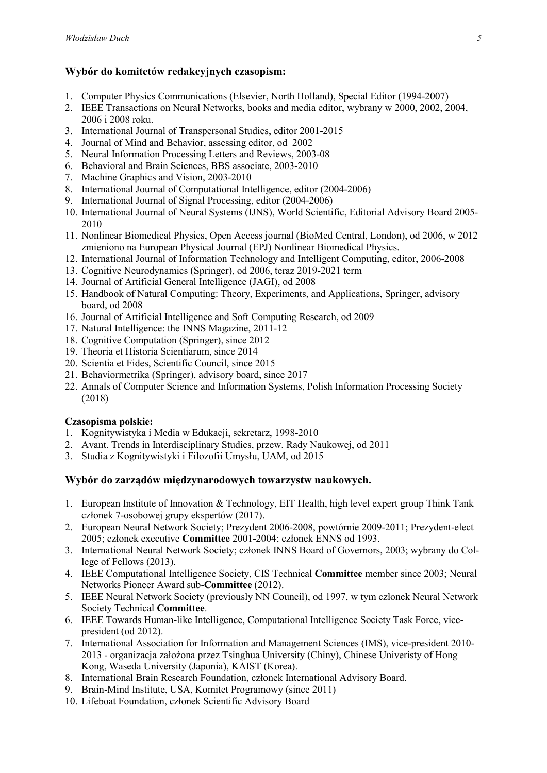# Wybór do komitetów redakcyjnych czasopism:

- 1. Computer Physics Communications (Elsevier, North Holland), Special Editor (1994-2007)
- 2. IEEE Transactions on Neural Networks, books and media editor, wybrany w 2000, 2002, 2004, 2006 i 2008 roku.
- 3. International Journal of Transpersonal Studies, editor 2001-2015
- 4. Journal of Mind and Behavior, assessing editor, od 2002
- 5. Neural Information Processing Letters and Reviews, 2003-08
- 6. Behavioral and Brain Sciences, BBS associate, 2003-2010
- 7. Machine Graphics and Vision, 2003-2010
- 8. International Journal of Computational Intelligence, editor (2004-2006)
- 9. International Journal of Signal Processing, editor (2004-2006)
- 10. International Journal of Neural Systems (IJNS), World Scientific, Editorial Advisory Board 2005- 2010
- 11. Nonlinear Biomedical Physics, Open Access journal (BioMed Central, London), od 2006, w 2012 zmieniono na European Physical Journal (EPJ) Nonlinear Biomedical Physics.
- 12. International Journal of Information Technology and Intelligent Computing, editor, 2006-2008
- 13. Cognitive Neurodynamics (Springer), od 2006, teraz 2019-2021 term
- 14. Journal of Artificial General Intelligence (JAGI), od 2008
- 15. Handbook of Natural Computing: Theory, Experiments, and Applications, Springer, advisory board, od 2008
- 16. Journal of Artificial Intelligence and Soft Computing Research, od 2009
- 17. Natural Intelligence: the INNS Magazine, 2011-12
- 18. Cognitive Computation (Springer), since 2012
- 19. Theoria et Historia Scientiarum, since 2014
- 20. Scientia et Fides, Scientific Council, since 2015
- 21. Behaviormetrika (Springer), advisory board, since 2017
- 22. Annals of Computer Science and Information Systems, Polish Information Processing Society (2018)

#### Czasopisma polskie:

- 1. Kognitywistyka i Media w Edukacji, sekretarz, 1998-2010
- 2. Avant. Trends in Interdisciplinary Studies, przew. Rady Naukowej, od 2011
- 3. Studia z Kognitywistyki i Filozofii Umysłu, UAM, od 2015

## Wybór do zarządów międzynarodowych towarzystw naukowych.

- 1. European Institute of Innovation & Technology, EIT Health, high level expert group Think Tank członek 7-osobowej grupy ekspertów (2017).
- 2. European Neural Network Society; Prezydent 2006-2008, powtórnie 2009-2011; Prezydent-elect 2005; członek executive Committee 2001-2004; członek ENNS od 1993.
- 3. International Neural Network Society; członek INNS Board of Governors, 2003; wybrany do College of Fellows (2013).
- 4. IEEE Computational Intelligence Society, CIS Technical Committee member since 2003; Neural Networks Pioneer Award sub-Committee (2012).
- 5. IEEE Neural Network Society (previously NN Council), od 1997, w tym członek Neural Network Society Technical Committee.
- 6. IEEE Towards Human-like Intelligence, Computational Intelligence Society Task Force, vicepresident (od 2012).
- 7. International Association for Information and Management Sciences (IMS), vice-president 2010- 2013 - organizacja założona przez Tsinghua University (Chiny), Chinese Univeristy of Hong Kong, Waseda University (Japonia), KAIST (Korea).
- 8. International Brain Research Foundation, członek International Advisory Board.
- 9. Brain-Mind Institute, USA, Komitet Programowy (since 2011)
- 10. Lifeboat Foundation, członek Scientific Advisory Board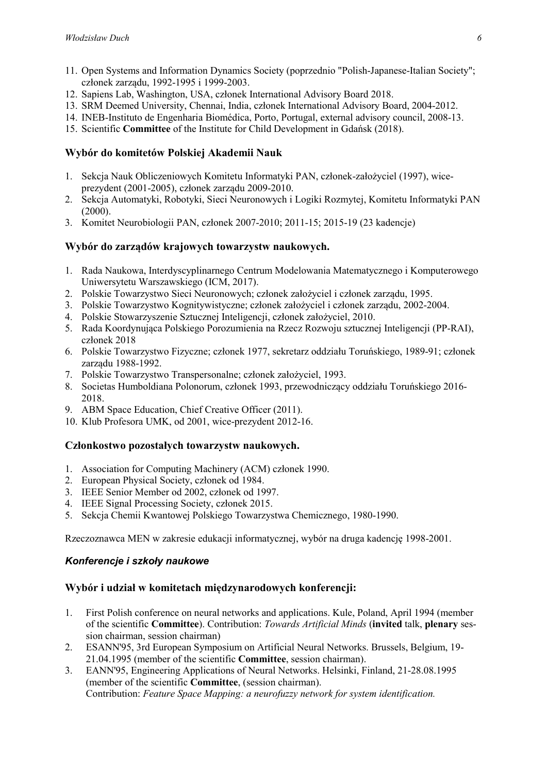- 11. Open Systems and Information Dynamics Society (poprzednio "Polish-Japanese-Italian Society"; członek zarządu, 1992-1995 i 1999-2003.
- 12. Sapiens Lab, Washington, USA, członek International Advisory Board 2018.
- 13. SRM Deemed University, Chennai, India, członek International Advisory Board, 2004-2012.
- 14. INEB-Instituto de Engenharia Biomédica, Porto, Portugal, external advisory council, 2008-13.
- 15. Scientific Committee of the Institute for Child Development in Gdańsk (2018).

## Wybór do komitetów Polskiej Akademii Nauk

- 1. Sekcja Nauk Obliczeniowych Komitetu Informatyki PAN, członek-założyciel (1997), wiceprezydent (2001-2005), członek zarządu 2009-2010.
- 2. Sekcja Automatyki, Robotyki, Sieci Neuronowych i Logiki Rozmytej, Komitetu Informatyki PAN (2000).
- 3. Komitet Neurobiologii PAN, członek 2007-2010; 2011-15; 2015-19 (23 kadencje)

## Wybór do zarządów krajowych towarzystw naukowych.

- 1. Rada Naukowa, Interdyscyplinarnego Centrum Modelowania Matematycznego i Komputerowego Uniwersytetu Warszawskiego (ICM, 2017).
- 2. Polskie Towarzystwo Sieci Neuronowych; członek założyciel i członek zarządu, 1995.
- 3. Polskie Towarzystwo Kognitywistyczne; członek założyciel i członek zarządu, 2002-2004.
- 4. Polskie Stowarzyszenie Sztucznej Inteligencji, członek założyciel, 2010.
- 5. Rada Koordynująca Polskiego Porozumienia na Rzecz Rozwoju sztucznej Inteligencji (PP-RAI), członek 2018
- 6. Polskie Towarzystwo Fizyczne; członek 1977, sekretarz oddziału Toruńskiego, 1989-91; członek zarządu 1988-1992.
- 7. Polskie Towarzystwo Transpersonalne; członek założyciel, 1993.
- 8. Societas Humboldiana Polonorum, członek 1993, przewodniczący oddziału Toruńskiego 2016- 2018.
- 9. ABM Space Education, Chief Creative Officer (2011).
- 10. Klub Profesora UMK, od 2001, wice-prezydent 2012-16.

## Członkostwo pozostałych towarzystw naukowych.

- 1. Association for Computing Machinery (ACM) członek 1990.
- 2. European Physical Society, członek od 1984.
- 3. IEEE Senior Member od 2002, członek od 1997.
- 4. IEEE Signal Processing Society, członek 2015.
- 5. Sekcja Chemii Kwantowej Polskiego Towarzystwa Chemicznego, 1980-1990.

Rzeczoznawca MEN w zakresie edukacji informatycznej, wybór na druga kadencję 1998-2001.

## *Konferencje i szkoły naukowe*

## Wybór i udział w komitetach międzynarodowych konferencji:

- 1. First Polish conference on neural networks and applications. Kule, Poland, April 1994 (member of the scientific Committee). Contribution: *Towards Artificial Minds* (invited talk, plenary session chairman, session chairman)
- 2. ESANN'95, 3rd European Symposium on Artificial Neural Networks. Brussels, Belgium, 19- 21.04.1995 (member of the scientific Committee, session chairman).
- 3. EANN'95, Engineering Applications of Neural Networks. Helsinki, Finland, 21-28.08.1995 (member of the scientific Committee, (session chairman). Contribution: *Feature Space Mapping: a neurofuzzy network for system identification.*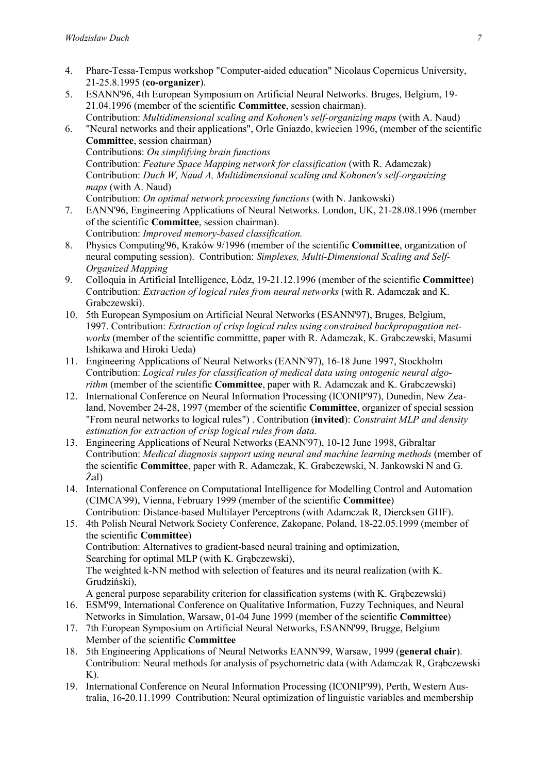- 4. Phare-Tessa-Tempus workshop "Computer-aided education" Nicolaus Copernicus University, 21-25.8.1995 (co-organizer).
- 5. ESANN'96, 4th European Symposium on Artificial Neural Networks. Bruges, Belgium, 19- 21.04.1996 (member of the scientific Committee, session chairman). Contribution: *Multidimensional scaling and Kohonen's self-organizing maps* (with A. Naud)
- 6. "Neural networks and their applications", Orle Gniazdo, kwiecien 1996, (member of the scientific Committee, session chairman)

Contributions: *On simplifying brain functions* Contribution: *Feature Space Mapping network for classification* (with R. Adamczak) Contribution: *Duch W, Naud A, Multidimensional scaling and Kohonen's self-organizing maps* (with A. Naud)

- Contribution: *On optimal network processing functions* (with N. Jankowski)
- 7. EANN'96, Engineering Applications of Neural Networks. London, UK, 21-28.08.1996 (member of the scientific Committee, session chairman). Contribution: *Improved memory-based classification.*
- 8. Physics Computing'96, Kraków 9/1996 (member of the scientific Committee, organization of neural computing session). Contribution: *Simplexes, Multi-Dimensional Scaling and Self-Organized Mapping*
- 9. Colloquia in Artificial Intelligence, Łódz, 19-21.12.1996 (member of the scientific Committee) Contribution: *Extraction of logical rules from neural networks* (with R. Adamczak and K. Grabczewski).
- 10. 5th European Symposium on Artificial Neural Networks (ESANN'97), Bruges, Belgium, 1997. Contribution: *Extraction of crisp logical rules using constrained backpropagation networks* (member of the scientific committte, paper with R. Adamczak, K. Grabczewski, Masumi Ishikawa and Hiroki Ueda)
- 11. Engineering Applications of Neural Networks (EANN'97), 16-18 June 1997, Stockholm Contribution: *Logical rules for classification of medical data using ontogenic neural algorithm* (member of the scientific **Committee**, paper with R. Adamczak and K. Grabczewski)
- 12. International Conference on Neural Information Processing (ICONIP'97), Dunedin, New Zealand, November 24-28, 1997 (member of the scientific Committee, organizer of special session "From neural networks to logical rules") . Contribution (invited): *Constraint MLP and density estimation for extraction of crisp logical rules from data.*
- 13. Engineering Applications of Neural Networks (EANN'97), 10-12 June 1998, Gibraltar Contribution: *Medical diagnosis support using neural and machine learning methods* (member of the scientific Committee, paper with R. Adamczak, K. Grabczewski, N. Jankowski N and G. Żal)
- 14. International Conference on Computational Intelligence for Modelling Control and Automation (CIMCA'99), Vienna, February 1999 (member of the scientific Committee) Contribution: Distance-based Multilayer Perceptrons (with Adamczak R, Diercksen GHF).
- 15. 4th Polish Neural Network Society Conference, Zakopane, Poland, 18-22.05.1999 (member of the scientific Committee) Contribution: Alternatives to gradient-based neural training and optimization, Searching for optimal MLP (with K. Grabczewski), The weighted k-NN method with selection of features and its neural realization (with K. Grudziński),

A general purpose separability criterion for classification systems (with K. Grąbczewski)

- 16. ESM'99, International Conference on Qualitative Information, Fuzzy Techniques, and Neural Networks in Simulation, Warsaw, 01-04 June 1999 (member of the scientific Committee)
- 17. 7th European Symposium on Artificial Neural Networks, ESANN'99, Brugge, Belgium Member of the scientific Committee
- 18. 5th Engineering Applications of Neural Networks EANN'99, Warsaw, 1999 (general chair). Contribution: Neural methods for analysis of psychometric data (with Adamczak R, Grąbczewski  $K$ ).
- 19. International Conference on Neural Information Processing (ICONIP'99), Perth, Western Australia, 16-20.11.1999 Contribution: Neural optimization of linguistic variables and membership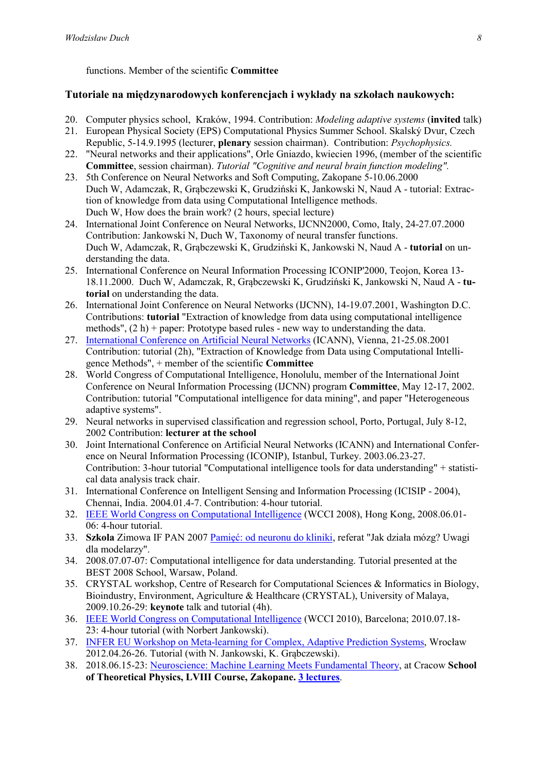functions. Member of the scientific Committee

## Tutoriale na międzynarodowych konferencjach i wykłady na szkołach naukowych:

- 20. Computer physics school, Kraków, 1994. Contribution: *Modeling adaptive systems* (invited talk) 21. European Physical Society (EPS) Computational Physics Summer School. Skalský Dvur, Czech
- Republic, 5-14.9.1995 (lecturer, plenary session chairman). Contribution: *Psychophysics.*
- 22. "Neural networks and their applications", Orle Gniazdo, kwiecien 1996, (member of the scientific Committee, session chairman). *Tutorial "Cognitive and neural brain function modeling".*
- 23. 5th Conference on Neural Networks and Soft Computing, Zakopane 5-10.06.2000 Duch W, Adamczak, R, Grąbczewski K, Grudziński K, Jankowski N, Naud A - tutorial: Extraction of knowledge from data using Computational Intelligence methods. Duch W, How does the brain work? (2 hours, special lecture)
- 24. International Joint Conference on Neural Networks, IJCNN2000, Como, Italy, 24-27.07.2000 Contribution: Jankowski N, Duch W, Taxonomy of neural transfer functions. Duch W, Adamczak, R, Grąbczewski K, Grudziński K, Jankowski N, Naud A - tutorial on understanding the data.
- 25. International Conference on Neural Information Processing ICONIP'2000, Teojon, Korea 13- 18.11.2000. Duch W, Adamczak, R, Grąbczewski K, Grudziński K, Jankowski N, Naud A - tutorial on understanding the data.
- 26. International Joint Conference on Neural Networks (IJCNN), 14-19.07.2001, Washington D.C. Contributions: tutorial "Extraction of knowledge from data using computational intelligence methods",  $(2 h)$  + paper: Prototype based rules - new way to understanding the data.
- 27. International Conference on Artificial Neural Networks (ICANN), Vienna, 21-25.08.2001 Contribution: tutorial (2h), "Extraction of Knowledge from Data using Computational Intelligence Methods", + member of the scientific Committee
- 28. World Congress of Computational Intelligence, Honolulu, member of the International Joint Conference on Neural Information Processing (IJCNN) program Committee, May 12-17, 2002. Contribution: tutorial "Computational intelligence for data mining", and paper "Heterogeneous adaptive systems".
- 29. Neural networks in supervised classification and regression school, Porto, Portugal, July 8-12, 2002 Contribution: lecturer at the school
- 30. Joint International Conference on Artificial Neural Networks (ICANN) and International Conference on Neural Information Processing (ICONIP), Istanbul, Turkey. 2003.06.23-27. Contribution: 3-hour tutorial "Computational intelligence tools for data understanding" + statistical data analysis track chair.
- 31. International Conference on Intelligent Sensing and Information Processing (ICISIP 2004), Chennai, India. 2004.01.4-7. Contribution: 4-hour tutorial.
- 32. IEEE World Congress on Computational Intelligence (WCCI 2008), Hong Kong, 2008.06.01- 06: 4-hour tutorial.
- 33. Szkola Zimowa IF PAN 2007 Pamięć: od neuronu do kliniki, referat "Jak działa mózg? Uwagi dla modelarzy".
- 34. 2008.07.07-07: Computational intelligence for data understanding. Tutorial presented at the BEST 2008 School, Warsaw, Poland.
- 35. CRYSTAL workshop, Centre of Research for Computational Sciences & Informatics in Biology, Bioindustry, Environment, Agriculture & Healthcare (CRYSTAL), University of Malaya, 2009.10.26-29: keynote talk and tutorial (4h).
- 36. IEEE World Congress on Computational Intelligence (WCCI 2010), Barcelona; 2010.07.18- 23: 4-hour tutorial (with Norbert Jankowski).
- 37. INFER EU Workshop on Meta-learning for Complex, Adaptive Prediction Systems, Wrocław 2012.04.26-26. Tutorial (with N. Jankowski, K. Grąbczewski).
- 38. 2018.06.15-23: Neuroscience: Machine Learning Meets Fundamental Theory, at Cracow School of Theoretical Physics, LVIII Course, Zakopane. 3 lectures.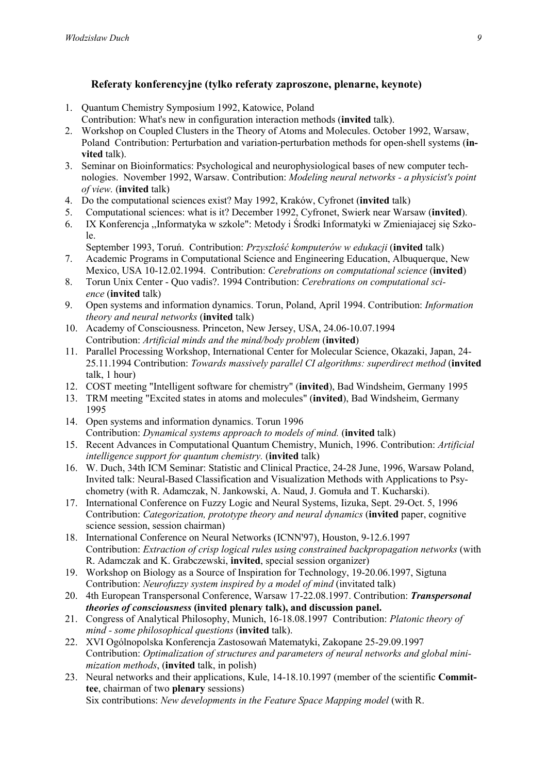# Referaty konferencyjne (tylko referaty zaproszone, plenarne, keynote)

- 1. Quantum Chemistry Symposium 1992, Katowice, Poland
- Contribution: What's new in configuration interaction methods (invited talk).
- 2. Workshop on Coupled Clusters in the Theory of Atoms and Molecules. October 1992, Warsaw, Poland Contribution: Perturbation and variation-perturbation methods for open-shell systems (invited talk).
- 3. Seminar on Bioinformatics: Psychological and neurophysiological bases of new computer technologies. November 1992, Warsaw. Contribution: *Modeling neural networks - a physicist's point of view.* (invited talk)
- 4. Do the computational sciences exist? May 1992, Kraków, Cyfronet (invited talk)
- 5. Computational sciences: what is it? December 1992, Cyfronet, Swierk near Warsaw (invited).
- 6. IX Konferencja ,,Informatyka w szkole": Metody i Środki Informatyki w Zmieniajacej się Szkole.
- September 1993, Toruń. Contribution: *Przyszłość komputerów w edukacji* (invited talk) 7. Academic Programs in Computational Science and Engineering Education, Albuquerque, New Mexico, USA 10-12.02.1994. Contribution: *Cerebrations on computational science* (invited)
- 8. Torun Unix Center Quo vadis?. 1994 Contribution: *Cerebrations on computational science* (invited talk)
- 9. Open systems and information dynamics. Torun, Poland, April 1994. Contribution: *Information theory and neural networks* (invited talk)
- 10. Academy of Consciousness. Princeton, New Jersey, USA, 24.06-10.07.1994 Contribution: *Artificial minds and the mind/body problem* (invited)
- 11. Parallel Processing Workshop, International Center for Molecular Science, Okazaki, Japan, 24- 25.11.1994 Contribution: *Towards massively parallel CI algorithms: superdirect method* (invited talk, 1 hour)
- 12. COST meeting "Intelligent software for chemistry" (invited), Bad Windsheim, Germany 1995
- 13. TRM meeting "Excited states in atoms and molecules" (invited), Bad Windsheim, Germany 1995
- 14. Open systems and information dynamics. Torun 1996 Contribution: *Dynamical systems approach to models of mind.* (invited talk)
- 15. Recent Advances in Computational Quantum Chemistry, Munich, 1996. Contribution: *Artificial intelligence support for quantum chemistry.* (invited talk)
- 16. W. Duch, 34th ICM Seminar: Statistic and Clinical Practice, 24-28 June, 1996, Warsaw Poland, Invited talk: Neural-Based Classification and Visualization Methods with Applications to Psychometry (with R. Adamczak, N. Jankowski, A. Naud, J. Gomuła and T. Kucharski).
- 17. International Conference on Fuzzy Logic and Neural Systems, Iizuka, Sept. 29-Oct. 5, 1996 Contribution: *Categorization, prototype theory and neural dynamics* (invited paper, cognitive science session, session chairman)
- 18. International Conference on Neural Networks (ICNN'97), Houston, 9-12.6.1997 Contribution: *Extraction of crisp logical rules using constrained backpropagation networks* (with R. Adamczak and K. Grabczewski, invited, special session organizer)
- 19. Workshop on Biology as a Source of Inspiration for Technology, 19-20.06.1997, Sigtuna Contribution: *Neurofuzzy system inspired by a model of mind* (invitated talk)
- 20. 4th European Transpersonal Conference, Warsaw 17-22.08.1997. Contribution: *Transpersonal theories of consciousness* (invited plenary talk), and discussion panel.
- 21. Congress of Analytical Philosophy, Munich, 16-18.08.1997 Contribution: *Platonic theory of mind - some philosophical questions* (invited talk).
- 22. XVI Ogólnopolska Konferencja Zastosowań Matematyki, Zakopane 25-29.09.1997 Contribution: *Optimalization of structures and parameters of neural networks and global minimization methods*, (invited talk, in polish)
- 23. Neural networks and their applications, Kule, 14-18.10.1997 (member of the scientific Committee, chairman of two plenary sessions)

Six contributions: *New developments in the Feature Space Mapping model* (with R.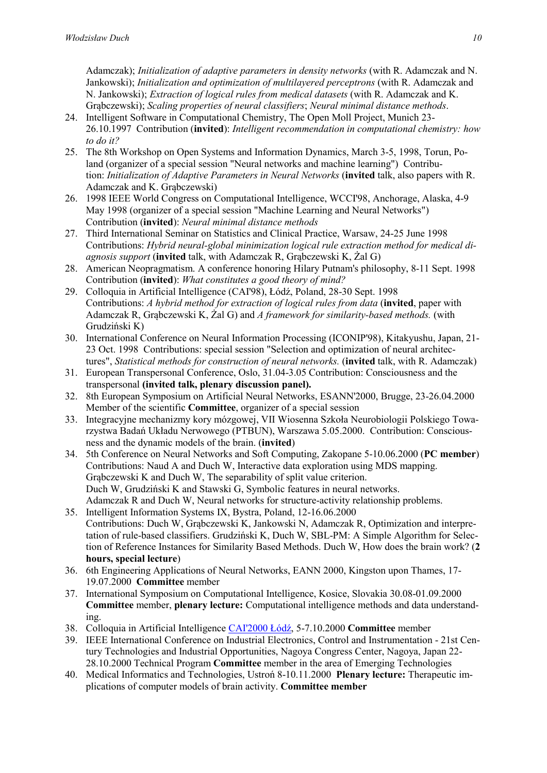Adamczak); *Initialization of adaptive parameters in density networks* (with R. Adamczak and N. Jankowski); *Initialization and optimization of multilayered perceptrons* (with R. Adamczak and N. Jankowski); *Extraction of logical rules from medical datasets* (with R. Adamczak and K. Grąbczewski); *Scaling properties of neural classifiers*; *Neural minimal distance methods*.

- 24. Intelligent Software in Computational Chemistry, The Open Moll Project, Munich 23- 26.10.1997 Contribution (invited): *Intelligent recommendation in computational chemistry: how to do it?*
- 25. The 8th Workshop on Open Systems and Information Dynamics, March 3-5, 1998, Torun, Poland (organizer of a special session "Neural networks and machine learning") Contribution: *Initialization of Adaptive Parameters in Neural Networks* (invited talk, also papers with R. Adamczak and K. Grabczewski)
- 26. 1998 IEEE World Congress on Computational Intelligence, WCCI'98, Anchorage, Alaska, 4-9 May 1998 (organizer of a special session "Machine Learning and Neural Networks") Contribution (invited): *Neural minimal distance methods*
- 27. Third International Seminar on Statistics and Clinical Practice, Warsaw, 24-25 June 1998 Contributions: *Hybrid neural-global minimization logical rule extraction method for medical diagnosis support* (invited talk, with Adamczak R, Grąbczewski K, Żal G)
- 28. American Neopragmatism. A conference honoring Hilary Putnam's philosophy, 8-11 Sept. 1998 Contribution (invited): *What constitutes a good theory of mind?*
- 29. Colloquia in Artificial Intelligence (CAI'98), Łódź, Poland, 28-30 Sept. 1998 Contributions: *A hybrid method for extraction of logical rules from data* (invited, paper with Adamczak R, Grąbczewski K, Żal G) and *A framework for similarity-based methods.* (with Grudziński K)
- 30. International Conference on Neural Information Processing (ICONIP'98), Kitakyushu, Japan, 21- 23 Oct. 1998 Contributions: special session "Selection and optimization of neural architectures", *Statistical methods for construction of neural networks.* (invited talk, with R. Adamczak)
- 31. European Transpersonal Conference, Oslo, 31.04-3.05 Contribution: Consciousness and the transpersonal (invited talk, plenary discussion panel).
- 32. 8th European Symposium on Artificial Neural Networks, ESANN'2000, Brugge, 23-26.04.2000 Member of the scientific Committee, organizer of a special session
- 33. Integracyjne mechanizmy kory mózgowej, VII Wiosenna Szkoła Neurobiologii Polskiego Towarzystwa Badań Układu Nerwowego (PTBUN), Warszawa 5.05.2000. Contribution: Consciousness and the dynamic models of the brain. (invited)
- 34. 5th Conference on Neural Networks and Soft Computing, Zakopane 5-10.06.2000 (PC member) Contributions: Naud A and Duch W, Interactive data exploration using MDS mapping. Grąbczewski K and Duch W, The separability of split value criterion. Duch W, Grudziński K and Stawski G, Symbolic features in neural networks. Adamczak R and Duch W, Neural networks for structure-activity relationship problems.
- 35. Intelligent Information Systems IX, Bystra, Poland, 12-16.06.2000 Contributions: Duch W, Grąbczewski K, Jankowski N, Adamczak R, Optimization and interpretation of rule-based classifiers. Grudziński K, Duch W, SBL-PM: A Simple Algorithm for Selection of Reference Instances for Similarity Based Methods. Duch W, How does the brain work? (2 hours, special lecture)
- 36. 6th Engineering Applications of Neural Networks, EANN 2000, Kingston upon Thames, 17- 19.07.2000 Committee member
- 37. International Symposium on Computational Intelligence, Kosice, Slovakia 30.08-01.09.2000 Committee member, plenary lecture: Computational intelligence methods and data understanding.
- 38. Colloquia in Artificial Intelligence CAI'2000 Łódź, 5-7.10.2000 Committee member
- 39. IEEE International Conference on Industrial Electronics, Control and Instrumentation 21st Century Technologies and Industrial Opportunities, Nagoya Congress Center, Nagoya, Japan 22- 28.10.2000 Technical Program Committee member in the area of Emerging Technologies
- 40. Medical Informatics and Technologies, Ustroń 8-10.11.2000 Plenary lecture: Therapeutic implications of computer models of brain activity. Committee member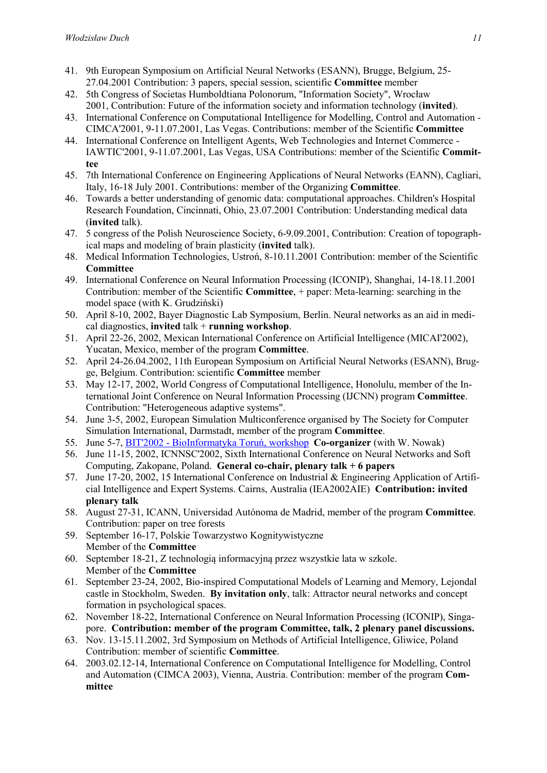- 41. 9th European Symposium on Artificial Neural Networks (ESANN), Brugge, Belgium, 25- 27.04.2001 Contribution: 3 papers, special session, scientific Committee member
- 42. 5th Congress of Societas Humboldtiana Polonorum, "Information Society", Wrocław 2001, Contribution: Future of the information society and information technology (invited).
- 43. International Conference on Computational Intelligence for Modelling, Control and Automation CIMCA'2001, 9-11.07.2001, Las Vegas. Contributions: member of the Scientific Committee
- 44. International Conference on Intelligent Agents, Web Technologies and Internet Commerce IAWTIC'2001, 9-11.07.2001, Las Vegas, USA Contributions: member of the Scientific Committee
- 45. 7th International Conference on Engineering Applications of Neural Networks (EANN), Cagliari, Italy, 16-18 July 2001. Contributions: member of the Organizing Committee.
- 46. Towards a better understanding of genomic data: computational approaches. Children's Hospital Research Foundation, Cincinnati, Ohio, 23.07.2001 Contribution: Understanding medical data (invited talk).
- 47. 5 congress of the Polish Neuroscience Society, 6-9.09.2001, Contribution: Creation of topographical maps and modeling of brain plasticity (invited talk).
- 48. Medical Information Technologies, Ustroń, 8-10.11.2001 Contribution: member of the Scientific **Committee**
- 49. International Conference on Neural Information Processing (ICONIP), Shanghai, 14-18.11.2001 Contribution: member of the Scientific Committee, + paper: Meta-learning: searching in the model space (with K. Grudziński)
- 50. April 8-10, 2002, Bayer Diagnostic Lab Symposium, Berlin. Neural networks as an aid in medical diagnostics, invited  $talk + running workshop$ .
- 51. April 22-26, 2002, Mexican International Conference on Artificial Intelligence (MICAI'2002), Yucatan, Mexico, member of the program Committee.
- 52. April 24-26.04.2002, 11th European Symposium on Artificial Neural Networks (ESANN), Brugge, Belgium. Contribution: scientific Committee member
- 53. May 12-17, 2002, World Congress of Computational Intelligence, Honolulu, member of the International Joint Conference on Neural Information Processing (IJCNN) program Committee. Contribution: "Heterogeneous adaptive systems".
- 54. June 3-5, 2002, European Simulation Multiconference organised by The Society for Computer Simulation International, Darmstadt, member of the program Committee.
- 55. June 5-7, BIT'2002 BioInformatyka Toruń, workshop Co-organizer (with W. Nowak)
- 56. June 11-15, 2002, ICNNSC'2002, Sixth International Conference on Neural Networks and Soft Computing, Zakopane, Poland. General co-chair, plenary talk + 6 papers
- 57. June 17-20, 2002, 15 International Conference on Industrial & Engineering Application of Artificial Intelligence and Expert Systems. Cairns, Australia (IEA2002AIE) Contribution: invited plenary talk
- 58. August 27-31, ICANN, Universidad Autónoma de Madrid, member of the program Committee. Contribution: paper on tree forests
- 59. September 16-17, Polskie Towarzystwo Kognitywistyczne Member of the Committee
- 60. September 18-21, Z technologią informacyjną przez wszystkie lata w szkole. Member of the Committee
- 61. September 23-24, 2002, Bio-inspired Computational Models of Learning and Memory, Lejondal castle in Stockholm, Sweden. By invitation only, talk: Attractor neural networks and concept formation in psychological spaces.
- 62. November 18-22, International Conference on Neural Information Processing (ICONIP), Singapore. Contribution: member of the program Committee, talk, 2 plenary panel discussions.
- 63. Nov. 13-15.11.2002, 3rd Symposium on Methods of Artificial Intelligence, Gliwice, Poland Contribution: member of scientific Committee.
- 64. 2003.02.12-14, International Conference on Computational Intelligence for Modelling, Control and Automation (CIMCA 2003), Vienna, Austria. Contribution: member of the program Committee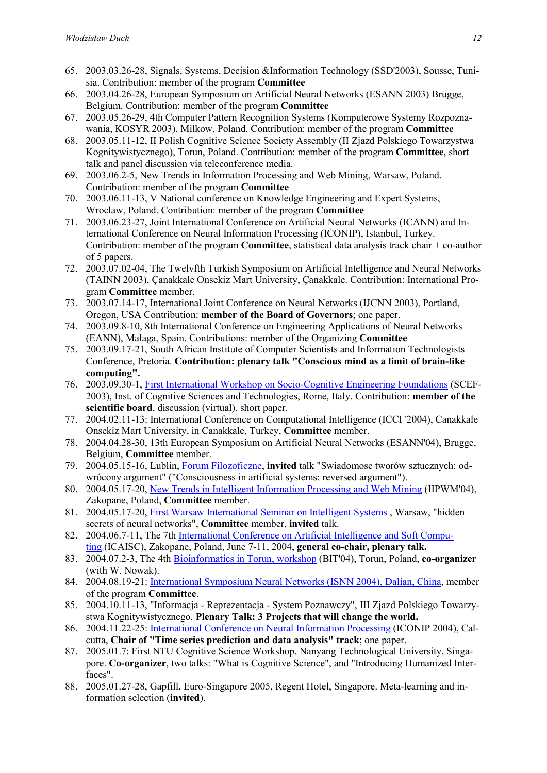- 65. 2003.03.26-28, Signals, Systems, Decision &Information Technology (SSD'2003), Sousse, Tunisia. Contribution: member of the program Committee
- 66. 2003.04.26-28, European Symposium on Artificial Neural Networks (ESANN 2003) Brugge, Belgium. Contribution: member of the program Committee
- 67. 2003.05.26-29, 4th Computer Pattern Recognition Systems (Komputerowe Systemy Rozpoznawania, KOSYR 2003), Milkow, Poland. Contribution: member of the program Committee
- 68. 2003.05.11-12, II Polish Cognitive Science Society Assembly (II Zjazd Polskiego Towarzystwa Kognitywistycznego), Torun, Poland. Contribution: member of the program Committee, short talk and panel discussion via teleconference media.
- 69. 2003.06.2-5, New Trends in Information Processing and Web Mining, Warsaw, Poland. Contribution: member of the program Committee
- 70. 2003.06.11-13, V National conference on Knowledge Engineering and Expert Systems, Wroclaw, Poland. Contribution: member of the program Committee
- 71. 2003.06.23-27, Joint International Conference on Artificial Neural Networks (ICANN) and International Conference on Neural Information Processing (ICONIP), Istanbul, Turkey. Contribution: member of the program **Committee**, statistical data analysis track chair  $+$  co-author of 5 papers.
- 72. 2003.07.02-04, The Twelvfth Turkish Symposium on Artificial Intelligence and Neural Networks (TAINN 2003), Çanakkale Onsekiz Mart University, Çanakkale. Contribution: International Program Committee member.
- 73. 2003.07.14-17, International Joint Conference on Neural Networks (IJCNN 2003), Portland, Oregon, USA Contribution: member of the Board of Governors; one paper.
- 74. 2003.09.8-10, 8th International Conference on Engineering Applications of Neural Networks (EANN), Malaga, Spain. Contributions: member of the Organizing Committee
- 75. 2003.09.17-21, South African Institute of Computer Scientists and Information Technologists Conference, Pretoria. Contribution: plenary talk "Conscious mind as a limit of brain-like computing".
- 76. 2003.09.30-1, First International Workshop on Socio-Cognitive Engineering Foundations (SCEF-2003), Inst. of Cognitive Sciences and Technologies, Rome, Italy. Contribution: member of the scientific board, discussion (virtual), short paper.
- 77. 2004.02.11-13: International Conference on Computational Intelligence (ICCI '2004), Canakkale Onsekiz Mart University, in Canakkale, Turkey, Committee member.
- 78. 2004.04.28-30, 13th European Symposium on Artificial Neural Networks (ESANN'04), Brugge, Belgium, Committee member.
- 79. 2004.05.15-16, Lublin, Forum Filozoficzne, invited talk "Swiadomosc tworów sztucznych: odwrócony argument" ("Consciousness in artificial systems: reversed argument").
- 80. 2004.05.17-20, New Trends in Intelligent Information Processing and Web Mining (IIPWM'04), Zakopane, Poland, Committee member.
- 81. 2004.05.17-20, First Warsaw International Seminar on Intelligent Systems , Warsaw, "hidden secrets of neural networks", Committee member, invited talk.
- 82. 2004.06.7-11, The 7th International Conference on Artificial Intelligence and Soft Computing (ICAISC), Zakopane, Poland, June 7-11, 2004, general co-chair, plenary talk.
- 83. 2004.07.2-3, The 4th Bioinformatics in Torun, workshop (BIT'04), Torun, Poland, co-organizer (with W. Nowak).
- 84. 2004.08.19-21: International Symposium Neural Networks (ISNN 2004), Dalian, China, member of the program Committee.
- 85. 2004.10.11-13, "Informacja Reprezentacja System Poznawczy", III Zjazd Polskiego Towarzystwa Kognitywistycznego. Plenary Talk: 3 Projects that will change the world.
- 86. 2004.11.22-25: International Conference on Neural Information Processing (ICONIP 2004), Calcutta, Chair of "Time series prediction and data analysis" track; one paper.
- 87. 2005.01.7: First NTU Cognitive Science Workshop, Nanyang Technological University, Singapore. Co-organizer, two talks: "What is Cognitive Science", and "Introducing Humanized Interfaces".
- 88. 2005.01.27-28, Gapfill, Euro-Singapore 2005, Regent Hotel, Singapore. Meta-learning and information selection (invited).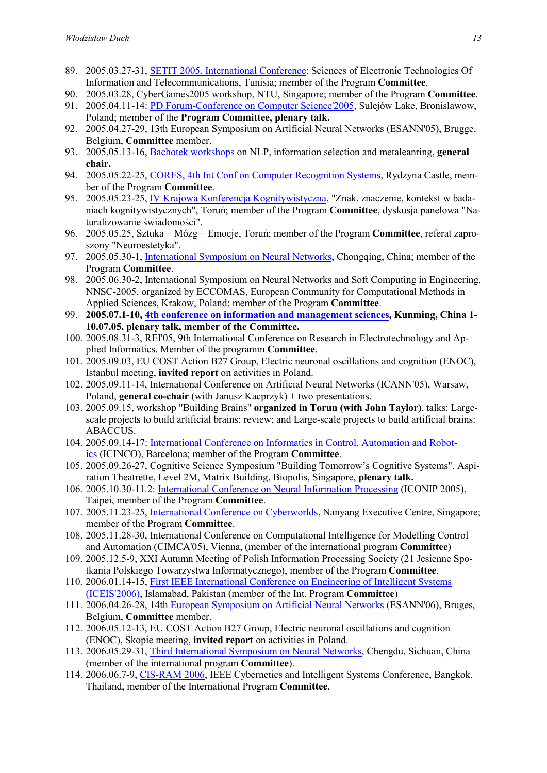- 89. 2005.03.27-31, SETIT 2005, International Conference: Sciences of Electronic Technologies Of Information and Telecommunications, Tunisia; member of the Program Committee.
- 90. 2005.03.28, CyberGames2005 workshop, NTU, Singapore; member of the Program Committee.
- 91. 2005.04.11-14: PD Forum-Conference on Computer Science'2005, Sulejów Lake, Bronislawow, Poland; member of the Program Committee, plenary talk.
- 92. 2005.04.27-29, 13th European Symposium on Artificial Neural Networks (ESANN'05), Brugge, Belgium, Committee member.
- 93. 2005.05.13-16, Bachotek workshops on NLP, information selection and metaleanring, general chair.
- 94. 2005.05.22-25, CORES, 4th Int Conf on Computer Recognition Systems, Rydzyna Castle, member of the Program Committee.
- 95. 2005.05.23-25, IV Krajowa Konferencja Kognitywistyczna, "Znak, znaczenie, kontekst w badaniach kognitywistycznych", Toruń; member of the Program Committee, dyskusja panelowa "Naturalizowanie świadomości".
- 96. 2005.05.25, Sztuka Mózg Emocje, Toruń; member of the Program Committee, referat zaproszony "Neuroestetyka".
- 97. 2005.05.30-1, International Symposium on Neural Networks, Chongqing, China; member of the Program Committee.
- 98. 2005.06.30-2, International Symposium on Neural Networks and Soft Computing in Engineering, NNSC-2005, organized by ECCOMAS, European Community for Computational Methods in Applied Sciences, Krakow, Poland; member of the Program Committee.
- 99. 2005.07.1-10, 4th conference on information and management sciences, Kunming, China 1- 10.07.05, plenary talk, member of the Committee.
- 100. 2005.08.31-3, REI'05, 9th International Conference on Research in Electrotechnology and Applied Informatics. Member of the programm Committee.
- 101. 2005.09.03, EU COST Action B27 Group, Electric neuronal oscillations and cognition (ENOC), Istanbul meeting, invited report on activities in Poland.
- 102. 2005.09.11-14, International Conference on Artificial Neural Networks (ICANN'05), Warsaw, Poland, general co-chair (with Janusz Kacprzyk) + two presentations.
- 103. 2005.09.15, workshop "Building Brains" organized in Torun (with John Taylor), talks: Largescale projects to build artificial brains: review; and Large-scale projects to build artificial brains: ABACCUS.
- 104. 2005.09.14-17: International Conference on Informatics in Control, Automation and Robotics (ICINCO), Barcelona; member of the Program Committee.
- 105. 2005.09.26-27, Cognitive Science Symposium "Building Tomorrow's Cognitive Systems", Aspiration Theatrette, Level 2M, Matrix Building, Biopolis, Singapore, plenary talk.
- 106. 2005.10.30-11.2: International Conference on Neural Information Processing (ICONIP 2005), Taipei, member of the Program Committee.
- 107. 2005.11.23-25, International Conference on Cyberworlds, Nanyang Executive Centre, Singapore; member of the Program Committee.
- 108. 2005.11.28-30, International Conference on Computational Intelligence for Modelling Control and Automation (CIMCA'05), Vienna, (member of the international program Committee)
- 109. 2005.12.5-9, XXI Autumn Meeting of Polish Information Processing Society (21 Jesienne Spotkania Polskiego Towarzystwa Informatycznego), member of the Program Committee.
- 110. 2006.01.14-15, First IEEE International Conference on Engineering of Intelligent Systems (ICEIS'2006), Islamabad, Pakistan (member of the Int. Program Committee)
- 111. 2006.04.26-28, 14th European Symposium on Artificial Neural Networks (ESANN'06), Bruges, Belgium, Committee member.
- 112. 2006.05.12-13, EU COST Action B27 Group, Electric neuronal oscillations and cognition (ENOC), Skopie meeting, invited report on activities in Poland.
- 113. 2006.05.29-31, Third International Symposium on Neural Networks, Chengdu, Sichuan, China (member of the international program Committee).
- 114. 2006.06.7-9, CIS-RAM 2006, IEEE Cybernetics and Intelligent Systems Conference, Bangkok, Thailand, member of the International Program Committee.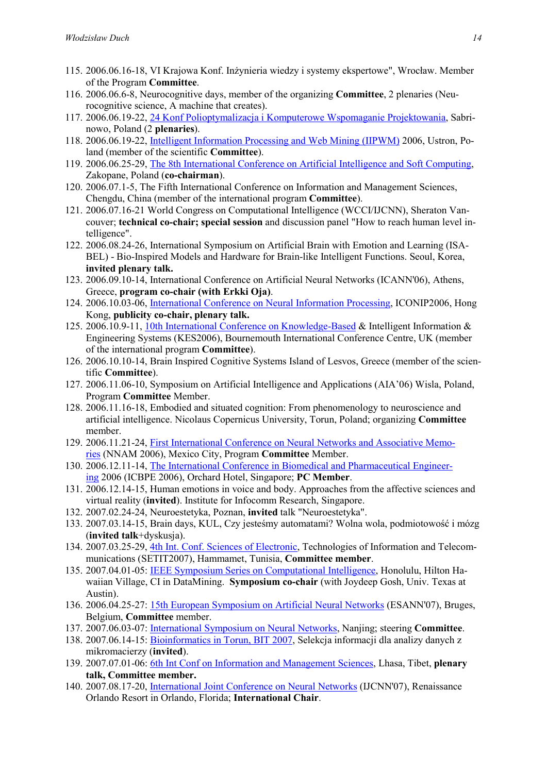- 115. 2006.06.16-18, VI Krajowa Konf. Inżynieria wiedzy i systemy ekspertowe", Wrocław. Member of the Program Committee.
- 116. 2006.06.6-8, Neurocognitive days, member of the organizing Committee, 2 plenaries (Neurocognitive science, A machine that creates).
- 117. 2006.06.19-22, 24 Konf Polioptymalizacja i Komputerowe Wspomaganie Projektowania, Sabrinowo, Poland (2 plenaries).
- 118. 2006.06.19-22, Intelligent Information Processing and Web Mining (IIPWM) 2006, Ustron, Poland (member of the scientific Committee).
- 119. 2006.06.25-29, The 8th International Conference on Artificial Intelligence and Soft Computing, Zakopane, Poland (co-chairman).
- 120. 2006.07.1-5, The Fifth International Conference on Information and Management Sciences, Chengdu, China (member of the international program Committee).
- 121. 2006.07.16-21 World Congress on Computational Intelligence (WCCI/IJCNN), Sheraton Vancouver; technical co-chair; special session and discussion panel "How to reach human level intelligence".
- 122. 2006.08.24-26, International Symposium on Artificial Brain with Emotion and Learning (ISA-BEL) - Bio-Inspired Models and Hardware for Brain-like Intelligent Functions. Seoul, Korea, invited plenary talk.
- 123. 2006.09.10-14, International Conference on Artificial Neural Networks (ICANN'06), Athens, Greece, program co-chair (with Erkki Oja).
- 124. 2006.10.03-06, International Conference on Neural Information Processing, ICONIP2006, Hong Kong, publicity co-chair, plenary talk.
- 125. 2006.10.9-11, 10th International Conference on Knowledge-Based & Intelligent Information & Engineering Systems (KES2006), Bournemouth International Conference Centre, UK (member of the international program Committee).
- 126. 2006.10.10-14, Brain Inspired Cognitive Systems Island of Lesvos, Greece (member of the scientific Committee).
- 127. 2006.11.06-10, Symposium on Artificial Intelligence and Applications (AIA'06) Wisla, Poland, Program Committee Member.
- 128. 2006.11.16-18, Embodied and situated cognition: From phenomenology to neuroscience and artificial intelligence. Nicolaus Copernicus University, Torun, Poland; organizing Committee member.
- 129. 2006.11.21-24, First International Conference on Neural Networks and Associative Memories (NNAM 2006), Mexico City, Program Committee Member.
- 130. 2006.12.11-14, The International Conference in Biomedical and Pharmaceutical Engineering 2006 (ICBPE 2006), Orchard Hotel, Singapore; PC Member.
- 131. 2006.12.14-15, Human emotions in voice and body. Approaches from the affective sciences and virtual reality (invited). Institute for Infocomm Research, Singapore.
- 132. 2007.02.24-24, Neuroestetyka, Poznan, invited talk "Neuroestetyka".
- 133. 2007.03.14-15, Brain days, KUL, Czy jesteśmy automatami? Wolna wola, podmiotowość i mózg (invited talk+dyskusja).
- 134. 2007.03.25-29, 4th Int. Conf. Sciences of Electronic, Technologies of Information and Telecommunications (SETIT2007), Hammamet, Tunisia, Committee member.
- 135. 2007.04.01-05: IEEE Symposium Series on Computational Intelligence, Honolulu, Hilton Hawaiian Village, CI in DataMining. Symposium co-chair (with Joydeep Gosh, Univ. Texas at Austin).
- 136. 2006.04.25-27: 15th European Symposium on Artificial Neural Networks (ESANN'07), Bruges, Belgium, Committee member.
- 137. 2007.06.03-07: International Symposium on Neural Networks, Nanjing; steering Committee.
- 138. 2007.06.14-15: Bioinformatics in Torun, BIT 2007, Selekcja informacji dla analizy danych z mikromacierzy (invited).
- 139. 2007.07.01-06: 6th Int Conf on Information and Management Sciences, Lhasa, Tibet, plenary talk, Committee member.
- 140. 2007.08.17-20, International Joint Conference on Neural Networks (IJCNN'07), Renaissance Orlando Resort in Orlando, Florida; International Chair.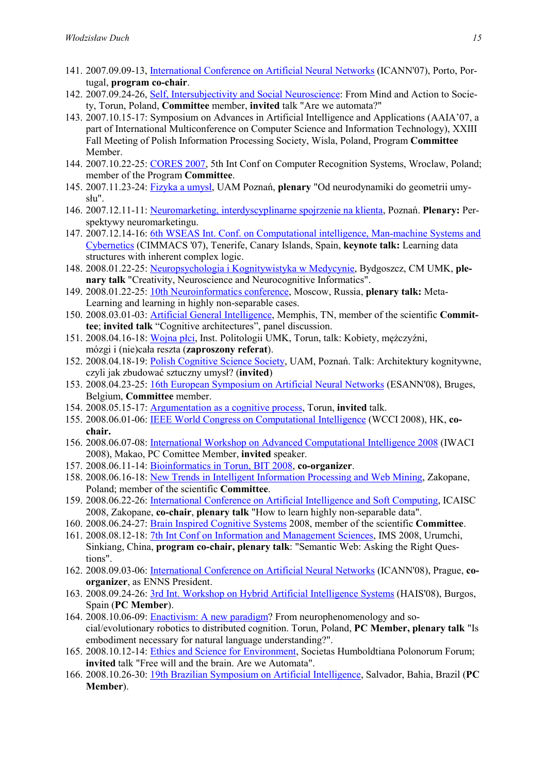- 141. 2007.09.09-13, International Conference on Artificial Neural Networks (ICANN'07), Porto, Portugal, program co-chair.
- 142. 2007.09.24-26, Self, Intersubjectivity and Social Neuroscience: From Mind and Action to Society, Torun, Poland, Committee member, invited talk "Are we automata?"
- 143. 2007.10.15-17: Symposium on Advances in Artificial Intelligence and Applications (AAIA'07, a part of International Multiconference on Computer Science and Information Technology), XXIII Fall Meeting of Polish Information Processing Society, Wisla, Poland, Program Committee Member.
- 144. 2007.10.22-25: CORES 2007, 5th Int Conf on Computer Recognition Systems, Wroclaw, Poland; member of the Program Committee.
- 145. 2007.11.23-24: Fizyka a umysł, UAM Poznań, plenary "Od neurodynamiki do geometrii umysłu".
- 146. 2007.12.11-11: Neuromarketing, interdyscyplinarne spojrzenie na klienta, Poznań. Plenary: Perspektywy neuromarketingu.
- 147. 2007.12.14-16: 6th WSEAS Int. Conf. on Computational intelligence, Man-machine Systems and Cybernetics (CIMMACS '07), Tenerife, Canary Islands, Spain, keynote talk: Learning data structures with inherent complex logic.
- 148. 2008.01.22-25: Neuropsychologia i Kognitywistyka w Medycynie, Bydgoszcz, CM UMK, plenary talk "Creativity, Neuroscience and Neurocognitive Informatics".
- 149. 2008.01.22-25: 10th Neuroinformatics conference, Moscow, Russia, plenary talk: Meta-Learning and learning in highly non-separable cases.
- 150. 2008.03.01-03: **Artificial General Intelligence**, Memphis, TN, member of the scientific Committee; invited talk "Cognitive architectures", panel discussion.
- 151. 2008.04.16-18: Wojna płci, Inst. Politologii UMK, Torun, talk: Kobiety, mężczyźni, mózgi i (nie)cała reszta (zaproszony referat).
- 152. 2008.04.18-19: Polish Cognitive Science Society, UAM, Poznań. Talk: Architektury kognitywne, czyli jak zbudować sztuczny umysł? (invited)
- 153. 2008.04.23-25: 16th European Symposium on Artificial Neural Networks (ESANN'08), Bruges, Belgium, Committee member.
- 154. 2008.05.15-17: Argumentation as a cognitive process, Torun, invited talk.
- 155. 2008.06.01-06: IEEE World Congress on Computational Intelligence (WCCI 2008), HK, cochair.
- 156. 2008.06.07-08: International Workshop on Advanced Computational Intelligence 2008 (IWACI 2008), Makao, PC Comittee Member, invited speaker.
- 157. 2008.06.11-14: Bioinformatics in Torun, BIT 2008, co-organizer.
- 158. 2008.06.16-18: New Trends in Intelligent Information Processing and Web Mining, Zakopane, Poland; member of the scientific Committee.
- 159. 2008.06.22-26: International Conference on Artificial Intelligence and Soft Computing, ICAISC 2008, Zakopane, co-chair, plenary talk "How to learn highly non-separable data".
- 160. 2008.06.24-27: Brain Inspired Cognitive Systems 2008, member of the scientific Committee.
- 161. 2008.08.12-18: 7th Int Conf on Information and Management Sciences, IMS 2008, Urumchi, Sinkiang, China, program co-chair, plenary talk: "Semantic Web: Asking the Right Questions".
- 162. 2008.09.03-06: International Conference on Artificial Neural Networks (ICANN'08), Prague, coorganizer, as ENNS President.
- 163. 2008.09.24-26: 3rd Int. Workshop on Hybrid Artificial Intelligence Systems (HAIS'08), Burgos, Spain (PC Member).
- 164. 2008.10.06-09: Enactivism: A new paradigm? From neurophenomenology and social/evolutionary robotics to distributed cognition. Torun, Poland, PC Member, plenary talk "Is embodiment necessary for natural language understanding?".
- 165. 2008.10.12-14: Ethics and Science for Environment, Societas Humboldtiana Polonorum Forum; invited talk "Free will and the brain. Are we Automata".
- 166. 2008.10.26-30: 19th Brazilian Symposium on Artificial Intelligence, Salvador, Bahia, Brazil (PC Member).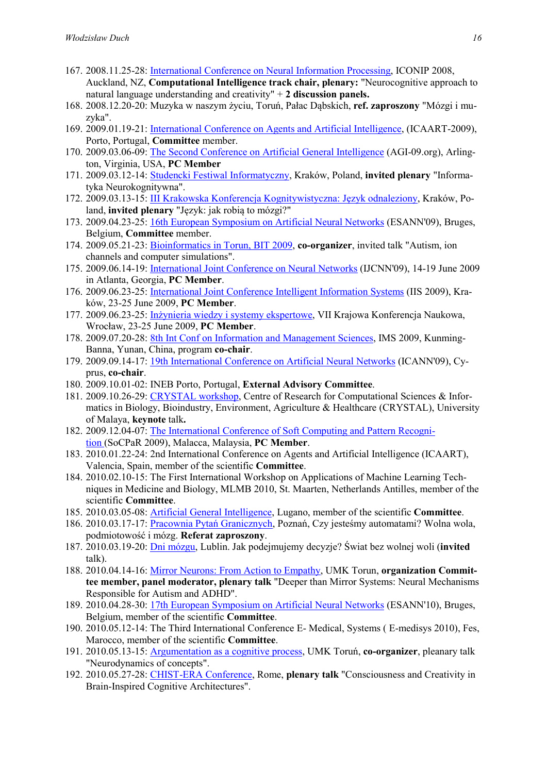- 167. 2008.11.25-28: International Conference on Neural Information Processing, ICONIP 2008, Auckland, NZ, Computational Intelligence track chair, plenary: "Neurocognitive approach to natural language understanding and creativity"  $+ 2$  discussion panels.
- 168. 2008.12.20-20: Muzyka w naszym życiu, Toruń, Pałac Dąbskich, ref. zaproszony "Mózgi i muzyka".
- 169. 2009.01.19-21: International Conference on Agents and Artificial Intelligence, (ICAART-2009), Porto, Portugal, Committee member.
- 170. 2009.03.06-09: The Second Conference on Artificial General Intelligence (AGI-09.org), Arlington, Virginia, USA, PC Member
- 171. 2009.03.12-14: Studencki Festiwal Informatyczny, Kraków, Poland, invited plenary "Informatyka Neurokognitywna".
- 172. 2009.03.13-15: III Krakowska Konferencja Kognitywistyczna: Język odnaleziony, Kraków, Poland, invited plenary "Język: jak robią to mózgi?"
- 173. 2009.04.23-25: 16th European Symposium on Artificial Neural Networks (ESANN'09), Bruges, Belgium, Committee member.
- 174. 2009.05.21-23: Bioinformatics in Torun, BIT 2009, co-organizer, invited talk "Autism, ion channels and computer simulations".
- 175. 2009.06.14-19: International Joint Conference on Neural Networks (IJCNN'09), 14-19 June 2009 in Atlanta, Georgia, PC Member.
- 176. 2009.06.23-25: International Joint Conference Intelligent Information Systems (IIS 2009), Kraków, 23-25 June 2009, PC Member.
- 177. 2009.06.23-25: Inżynieria wiedzy i systemy ekspertowe, VII Krajowa Konferencja Naukowa, Wrocław, 23-25 June 2009, PC Member.
- 178. 2009.07.20-28: 8th Int Conf on Information and Management Sciences, IMS 2009, Kunming-Banna, Yunan, China, program co-chair.
- 179. 2009.09.14-17: 19th International Conference on Artificial Neural Networks (ICANN'09), Cyprus, co-chair.
- 180. 2009.10.01-02: INEB Porto, Portugal, External Advisory Committee.
- 181. 2009.10.26-29: CRYSTAL workshop, Centre of Research for Computational Sciences & Informatics in Biology, Bioindustry, Environment, Agriculture & Healthcare (CRYSTAL), University of Malaya, keynote talk.
- 182. 2009.12.04-07: The International Conference of Soft Computing and Pattern Recognition (SoCPaR 2009), Malacca, Malaysia, PC Member.
- 183. 2010.01.22-24: 2nd International Conference on Agents and Artificial Intelligence (ICAART), Valencia, Spain, member of the scientific Committee.
- 184. 2010.02.10-15: The First International Workshop on Applications of Machine Learning Techniques in Medicine and Biology, MLMB 2010, St. Maarten, Netherlands Antilles, member of the scientific Committee.
- 185. 2010.03.05-08: Artificial General Intelligence, Lugano, member of the scientific Committee.
- 186. 2010.03.17-17: Pracownia Pytań Granicznych, Poznań, Czy jesteśmy automatami? Wolna wola, podmiotowość i mózg. Referat zaproszony.
- 187. 2010.03.19-20: Dni mózgu, Lublin. Jak podejmujemy decyzje? Świat bez wolnej woli (invited talk).
- 188. 2010.04.14-16: Mirror Neurons: From Action to Empathy, UMK Torun, organization Committee member, panel moderator, plenary talk "Deeper than Mirror Systems: Neural Mechanisms Responsible for Autism and ADHD".
- 189. 2010.04.28-30: 17th European Symposium on Artificial Neural Networks (ESANN'10), Bruges, Belgium, member of the scientific Committee.
- 190. 2010.05.12-14: The Third International Conference E- Medical, Systems ( E-medisys 2010), Fes, Marocco, member of the scientific Committee.
- 191. 2010.05.13-15: Argumentation as a cognitive process, UMK Toruń, co-organizer, pleanary talk "Neurodynamics of concepts".
- 192. 2010.05.27-28: CHIST-ERA Conference, Rome, plenary talk "Consciousness and Creativity in Brain-Inspired Cognitive Architectures".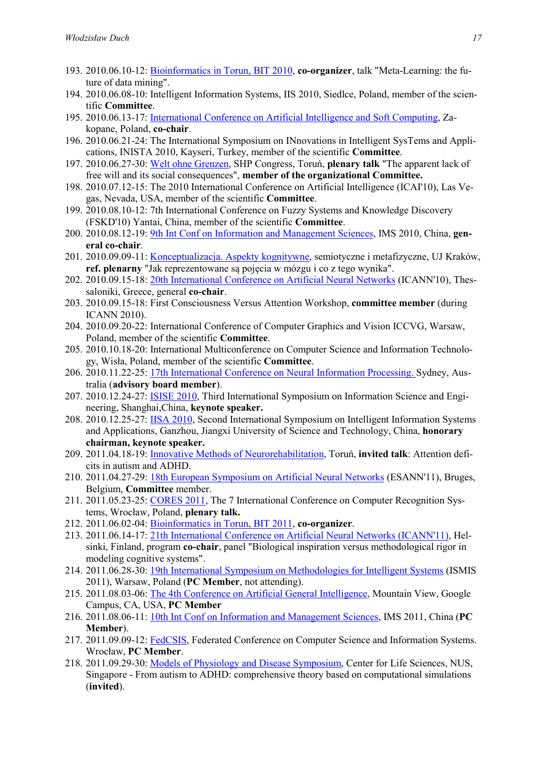- 193. 2010.06.10-12: Bioinformatics in Torun, BIT 2010, co-organizer, talk "Meta-Learning: the future of data mining".
- 194. 2010.06.08-10: Intelligent Information Systems, IIS 2010, Siedlce, Poland, member of the scientific Committee.
- 195. 2010.06.13-17: International Conference on Artificial Intelligence and Soft Computing, Zakopane, Poland, co-chair.
- 196. 2010.06.21-24: The International Symposium on INnovations in Intelligent SysTems and Applications, INISTA 2010, Kayseri, Turkey, member of the scientific Committee.
- 197. 2010.06.27-30: Welt ohne Grenzen, SHP Congress, Toruń, plenary talk "The apparent lack of free will and its social consequences", member of the organizational Committee.
- 198. 2010.07.12-15: The 2010 International Conference on Artificial Intelligence (ICAI'10), Las Vegas, Nevada, USA, member of the scientific Committee.
- 199. 2010.08.10-12: 7th International Conference on Fuzzy Systems and Knowledge Discovery (FSKD'10) Yantai, China, member of the scientific Committee.
- 200. 2010.08.12-19: 9th Int Conf on Information and Management Sciences, IMS 2010, China, general co-chair.
- 201. 2010.09.09-11: Konceptualizacja. Aspekty kognitywne, semiotyczne i metafizyczne, UJ Kraków, ref. plenarny "Jak reprezentowane są pojęcia w mózgu i co z tego wynika".
- 202. 2010.09.15-18: 20th International Conference on Artificial Neural Networks (ICANN'10), Thessaloniki, Greece, general co-chair.
- 203. 2010.09.15-18: First Consciousness Versus Attention Workshop, committee member (during ICANN 2010).
- 204. 2010.09.20-22: International Conference of Computer Graphics and Vision ICCVG, Warsaw, Poland, member of the scientific Committee.
- 205. 2010.10.18-20: International Multiconference on Computer Science and Information Technology, Wisła, Poland, member of the scientific Committee.
- 206. 2010.11.22-25: 17th International Conference on Neural Information Processing. Sydney, Australia (advisory board member).
- 207. 2010.12.24-27: ISISE 2010, Third International Symposium on Information Science and Engineering, Shanghai,China, keynote speaker.
- 208. 2010.12.25-27: IISA 2010, Second International Symposium on Intelligent Information Systems and Applications, Ganzhou, Jiangxi University of Science and Technology, China, honorary chairman, keynote speaker.
- 209. 2011.04.18-19: Innovative Methods of Neurorehabilitation, Toruń, invited talk: Attention deficits in autism and ADHD.
- 210. 2011.04.27-29: 18th European Symposium on Artificial Neural Networks (ESANN'11), Bruges, Belgium, Committee member.
- 211. 2011.05.23-25: CORES 2011, The 7 International Conference on Computer Recognition Systems, Wrocław, Poland, plenary talk.
- 212. 2011.06.02-04: Bioinformatics in Torun, BIT 2011, co-organizer.
- 213. 2011.06.14-17: 21th International Conference on Artificial Neural Networks (ICANN'11), Helsinki, Finland, program co-chair, panel "Biological inspiration versus methodological rigor in modeling cognitive systems".
- 214. 2011.06.28-30: 19th International Symposium on Methodologies for Intelligent Systems (ISMIS 2011), Warsaw, Poland (PC Member, not attending).
- 215. 2011.08.03-06: The 4th Conference on Artificial General Intelligence, Mountain View, Google Campus, CA, USA, PC Member
- 216. 2011.08.06-11: 10th Int Conf on Information and Management Sciences, IMS 2011, China (PC Member).
- 217. 2011.09.09-12: FedCSIS, Federated Conference on Computer Science and Information Systems. Wrocław, PC Member.
- 218. 2011.09.29-30: Models of Physiology and Disease Symposium, Center for Life Sciences, NUS, Singapore - From autism to ADHD: comprehensive theory based on computational simulations (invited).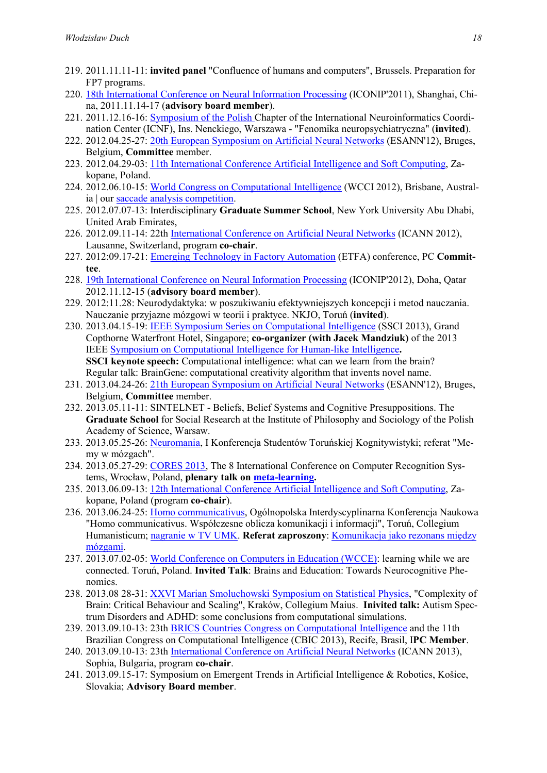- 219. 2011.11.11-11: invited panel "Confluence of humans and computers", Brussels. Preparation for FP7 programs.
- 220. 18th International Conference on Neural Information Processing (ICONIP'2011), Shanghai, China, 2011.11.14-17 (advisory board member).
- 221. 2011.12.16-16: Symposium of the Polish Chapter of the International Neuroinformatics Coordination Center (ICNF), Ins. Nenckiego, Warszawa - "Fenomika neuropsychiatryczna" (invited).
- 222. 2012.04.25-27: 20th European Symposium on Artificial Neural Networks (ESANN'12), Bruges, Belgium, Committee member.
- 223. 2012.04.29-03: 11th International Conference Artificial Intelligence and Soft Computing, Zakopane, Poland.
- 224. 2012.06.10-15: World Congress on Computational Intelligence (WCCI 2012), Brisbane, Australia | our saccade analysis competition.
- 225. 2012.07.07-13: Interdisciplinary Graduate Summer School, New York University Abu Dhabi, United Arab Emirates,
- 226. 2012.09.11-14: 22th International Conference on Artificial Neural Networks (ICANN 2012), Lausanne, Switzerland, program co-chair.
- 227. 2012:09.17-21: Emerging Technology in Factory Automation (ETFA) conference, PC Committee.
- 228. 19th International Conference on Neural Information Processing (ICONIP'2012), Doha, Qatar 2012.11.12-15 (advisory board member).
- 229. 2012:11.28: Neurodydaktyka: w poszukiwaniu efektywniejszych koncepcji i metod nauczania. Nauczanie przyjazne mózgowi w teorii i praktyce. NKJO, Toruń (invited).
- 230. 2013.04.15-19: IEEE Symposium Series on Computational Intelligence (SSCI 2013), Grand Copthorne Waterfront Hotel, Singapore; co-organizer (with Jacek Mandziuk) of the 2013 IEEE Symposium on Computational Intelligence for Human-like Intelligence. SSCI keynote speech: Computational intelligence: what can we learn from the brain? Regular talk: BrainGene: computational creativity algorithm that invents novel name.
- 231. 2013.04.24-26: 21th European Symposium on Artificial Neural Networks (ESANN'12), Bruges, Belgium, Committee member.
- 232. 2013.05.11-11: SINTELNET Beliefs, Belief Systems and Cognitive Presuppositions. The Graduate School for Social Research at the Institute of Philosophy and Sociology of the Polish Academy of Science, Warsaw.
- 233. 2013.05.25-26: Neuromania, I Konferencja Studentów Toruńskiej Kognitywistyki; referat "Memy w mózgach".
- 234. 2013.05.27-29: CORES 2013, The 8 International Conference on Computer Recognition Systems, Wrocław, Poland, plenary talk on meta-learning.
- 235. 2013.06.09-13: 12th International Conference Artificial Intelligence and Soft Computing, Zakopane, Poland (program co-chair).
- 236. 2013.06.24-25: Homo communicativus, Ogólnopolska Interdyscyplinarna Konferencja Naukowa "Homo communicativus. Współczesne oblicza komunikacji i informacji", Toruń, Collegium Humanisticum; nagranie w TV UMK. Referat zaproszony: Komunikacja jako rezonans między mózgami.
- 237. 2013.07.02-05: World Conference on Computers in Education (WCCE): learning while we are connected. Toruń, Poland. Invited Talk: Brains and Education: Towards Neurocognitive Phenomics.
- 238. 2013.08 28-31: XXVI Marian Smoluchowski Symposium on Statistical Physics, "Complexity of Brain: Critical Behaviour and Scaling", Kraków, Collegium Maius. Inivited talk: Autism Spectrum Disorders and ADHD: some conclusions from computational simulations.
- 239. 2013.09.10-13: 23th BRICS Countries Congress on Computational Intelligence and the 11th Brazilian Congress on Computational Intelligence (CBIC 2013), Recife, Brasil, IPC Member.
- 240. 2013.09.10-13: 23th International Conference on Artificial Neural Networks (ICANN 2013), Sophia, Bulgaria, program co-chair.
- 241. 2013.09.15-17: Symposium on Emergent Trends in Artificial Intelligence & Robotics, Košice, Slovakia; Advisory Board member.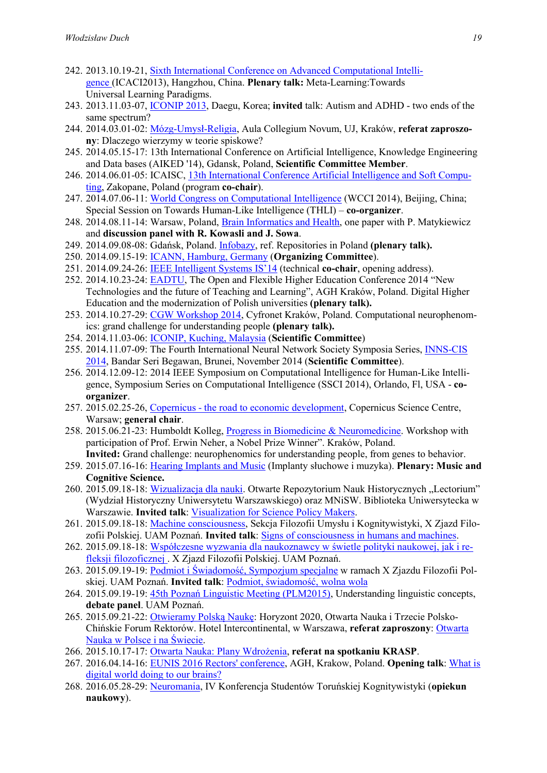- 242. 2013.10.19-21, Sixth International Conference on Advanced Computational Intelligence (ICACI2013), Hangzhou, China. Plenary talk: Meta-Learning:Towards Universal Learning Paradigms.
- 243. 2013.11.03-07, ICONIP 2013, Daegu, Korea; invited talk: Autism and ADHD two ends of the same spectrum?
- 244. 2014.03.01-02: Mózg-Umysł-Religia, Aula Collegium Novum, UJ, Kraków, referat zaproszony: Dlaczego wierzymy w teorie spiskowe?
- 245. 2014.05.15-17: 13th International Conference on Artificial Intelligence, Knowledge Engineering and Data bases (AIKED '14), Gdansk, Poland, Scientific Committee Member.
- 246. 2014.06.01-05: ICAISC, 13th International Conference Artificial Intelligence and Soft Computing, Zakopane, Poland (program co-chair).
- 247. 2014.07.06-11: World Congress on Computational Intelligence (WCCI 2014), Beijing, China; Special Session on Towards Human-Like Intelligence (THLI) – co-organizer.
- 248. 2014.08.11-14: Warsaw, Poland, Brain Informatics and Health, one paper with P. Matykiewicz and discussion panel with R. Kowasli and J. Sowa.
- 249. 2014.09.08-08: Gdańsk, Poland. Infobazy, ref. Repositories in Poland (plenary talk).
- 250. 2014.09.15-19: ICANN, Hamburg, Germany (Organizing Committee).
- 251. 2014.09.24-26: IEEE Intelligent Systems IS'14 (technical co-chair, opening address).
- 252. 2014.10.23-24: EADTU, The Open and Flexible Higher Education Conference 2014 "New Technologies and the future of Teaching and Learning", AGH Kraków, Poland. Digital Higher Education and the modernization of Polish universities (plenary talk).
- 253. 2014.10.27-29: CGW Workshop 2014, Cyfronet Kraków, Poland. Computational neurophenomics: grand challenge for understanding people (plenary talk).
- 254. 2014.11.03-06: ICONIP, Kuching, Malaysia (Scientific Committee)
- 255. 2014.11.07-09: The Fourth International Neural Network Society Symposia Series, INNS-CIS 2014, Bandar Seri Begawan, Brunei, November 2014 (Scientific Committee).
- 256. 2014.12.09-12: 2014 IEEE Symposium on Computational Intelligence for Human-Like Intelligence, Symposium Series on Computational Intelligence (SSCI 2014), Orlando, Fl, USA - coorganizer.
- 257. 2015.02.25-26, Copernicus the road to economic development, Copernicus Science Centre, Warsaw; general chair.
- 258. 2015.06.21-23: Humboldt Kolleg, Progress in Biomedicine & Neuromedicine. Workshop with participation of Prof. Erwin Neher, a Nobel Prize Winner". Kraków, Poland.
- Invited: Grand challenge: neurophenomics for understanding people, from genes to behavior. 259. 2015.07.16-16: Hearing Implants and Music (Implanty słuchowe i muzyka). Plenary: Music and Cognitive Science.
- 260. 2015.09.18-18: Wizualizacja dla nauki. Otwarte Repozytorium Nauk Historycznych "Lectorium" (Wydział Historyczny Uniwersytetu Warszawskiego) oraz MNiSW. Biblioteka Uniwersytecka w Warszawie. Invited talk: Visualization for Science Policy Makers.
- 261. 2015.09.18-18: Machine consciousness, Sekcja Filozofii Umysłu i Kognitywistyki, X Zjazd Filozofii Polskiej. UAM Poznań. Invited talk: Signs of consciousness in humans and machines.
- 262. 2015.09.18-18: Współczesne wyzwania dla naukoznawcy w świetle polityki naukowej, jak i refleksji filozoficznej . X Zjazd Filozofii Polskiej. UAM Poznań.
- 263. 2015.09.19-19: Podmiot i Świadomość, Sympozjum specjalne w ramach X Zjazdu Filozofii Polskiej. UAM Poznań. Invited talk: Podmiot, świadomość, wolna wola
- 264. 2015.09.19-19: 45th Poznań Linguistic Meeting (PLM2015), Understanding linguistic concepts, debate panel. UAM Poznań.
- 265. 2015.09.21-22: Otwieramy Polską Naukę: Horyzont 2020, Otwarta Nauka i Trzecie Polsko-Chińskie Forum Rektorów. Hotel Intercontinental, w Warszawa, referat zaproszony: Otwarta Nauka w Polsce i na Świecie.
- 266. 2015.10.17-17: Otwarta Nauka: Plany Wdrożenia, referat na spotkaniu KRASP.
- 267. 2016.04.14-16: EUNIS 2016 Rectors' conference, AGH, Krakow, Poland. Opening talk: What is digital world doing to our brains?
- 268. 2016.05.28-29: Neuromania, IV Konferencja Studentów Toruńskiej Kognitywistyki (opiekun naukowy).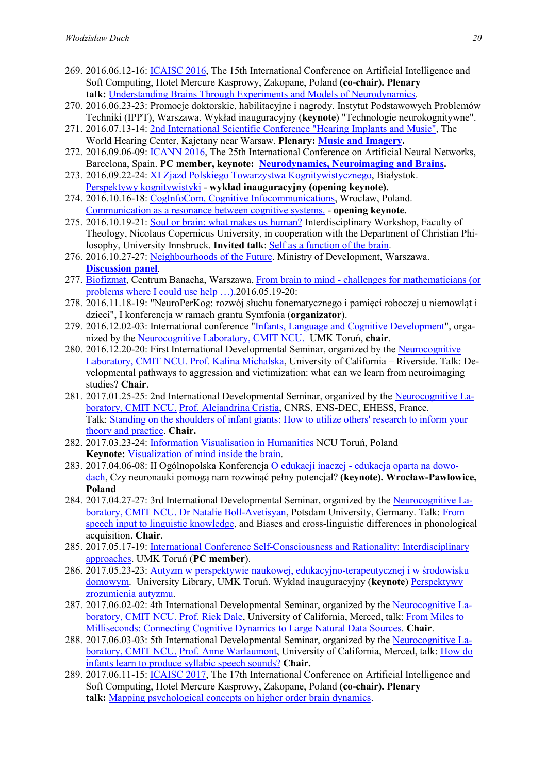- 269. 2016.06.12-16: ICAISC 2016, The 15th International Conference on Artificial Intelligence and Soft Computing, Hotel Mercure Kasprowy, Zakopane, Poland (co-chair). Plenary talk: Understanding Brains Through Experiments and Models of Neurodynamics.
- 270. 2016.06.23-23: Promocje doktorskie, habilitacyjne i nagrody. Instytut Podstawowych Problemów Techniki (IPPT), Warszawa. Wykład inauguracyjny (keynote) "Technologie neurokognitywne".
- 271. 2016.07.13-14: 2nd International Scientific Conference "Hearing Implants and Music", The World Hearing Center, Kajetany near Warsaw. Plenary: Music and Imagery.
- 272. 2016.09.06-09: ICANN 2016, The 25th International Conference on Artificial Neural Networks, Barcelona, Spain. PC member, keynote: Neurodynamics, Neuroimaging and Brains.
- 273. 2016.09.22-24: XI Zjazd Polskiego Towarzystwa Kognitywistycznego, Białystok. Perspektywy kognitywistyki - wykład inauguracyjny (opening keynote).
- 274. 2016.10.16-18: CogInfoCom, Cognitive Infocommunications, Wroclaw, Poland. Communication as a resonance between cognitive systems. - opening keynote.
- 275. 2016.10.19-21: Soul or brain: what makes us human? Interdisciplinary Workshop, Faculty of Theology, Nicolaus Copernicus University, in cooperation with the Department of Christian Philosophy, University Innsbruck. Invited talk: Self as a function of the brain.
- 276. 2016.10.27-27: Neighbourhoods of the Future. Ministry of Development, Warszawa. Discussion panel.
- 277. Biofizmat, Centrum Banacha, Warszawa, From brain to mind challenges for mathematicians (or problems where I could use help …).2016.05.19-20:
- 278. 2016.11.18-19: "NeuroPerKog: rozwój słuchu fonematycznego i pamięci roboczej u niemowląt i dzieci", I konferencja w ramach grantu Symfonia (organizator).
- 279. 2016.12.02-03: International conference "Infants, Language and Cognitive Development", organized by the Neurocognitive Laboratory, CMIT NCU. UMK Toruń, chair.
- 280. 2016.12.20-20: First International Developmental Seminar, organized by the Neurocognitive Laboratory, CMIT NCU. Prof. Kalina Michalska, University of California – Riverside. Talk: Developmental pathways to aggression and victimization: what can we learn from neuroimaging studies? Chair.
- 281. 2017.01.25-25: 2nd International Developmental Seminar, organized by the Neurocognitive Laboratory, CMIT NCU. Prof. Alejandrina Cristia, CNRS, ENS-DEC, EHESS, France. Talk: Standing on the shoulders of infant giants: How to utilize others' research to inform your theory and practice. Chair.
- 282. 2017.03.23-24: Information Visualisation in Humanities NCU Toruń, Poland Keynote: Visualization of mind inside the brain.
- 283. 2017.04.06-08: II Ogólnopolska Konferencja O edukacji inaczej edukacja oparta na dowodach, Czy neuronauki pomogą nam rozwinąć pełny potencjał? (keynote). Wrocław-Pawlowice, Poland
- 284. 2017.04.27-27: 3rd International Developmental Seminar, organized by the Neurocognitive Laboratory, CMIT NCU. Dr Natalie Boll-Avetisyan, Potsdam University, Germany. Talk: From speech input to linguistic knowledge, and Biases and cross-linguistic differences in phonological acquisition. Chair.
- 285. 2017.05.17-19: International Conference Self-Consciousness and Rationality: Interdisciplinary approaches. UMK Toruń (PC member).
- 286. 2017.05.23-23: Autyzm w perspektywie naukowej, edukacyjno-terapeutycznej i w środowisku domowym. University Library, UMK Toruń. Wykład inauguracyjny (keynote) Perspektywy zrozumienia autyzmu.
- 287. 2017.06.02-02: 4th International Developmental Seminar, organized by the Neurocognitive Laboratory, CMIT NCU. Prof. Rick Dale, University of California, Merced, talk: From Miles to Milliseconds: Connecting Cognitive Dynamics to Large Natural Data Sources. Chair.
- 288. 2017.06.03-03: 5th International Developmental Seminar, organized by the Neurocognitive Laboratory, CMIT NCU. Prof. Anne Warlaumont, University of California, Merced, talk: How do infants learn to produce syllabic speech sounds? Chair.
- 289. 2017.06.11-15: ICAISC 2017, The 17th International Conference on Artificial Intelligence and Soft Computing, Hotel Mercure Kasprowy, Zakopane, Poland (co-chair). Plenary talk: Mapping psychological concepts on higher order brain dynamics.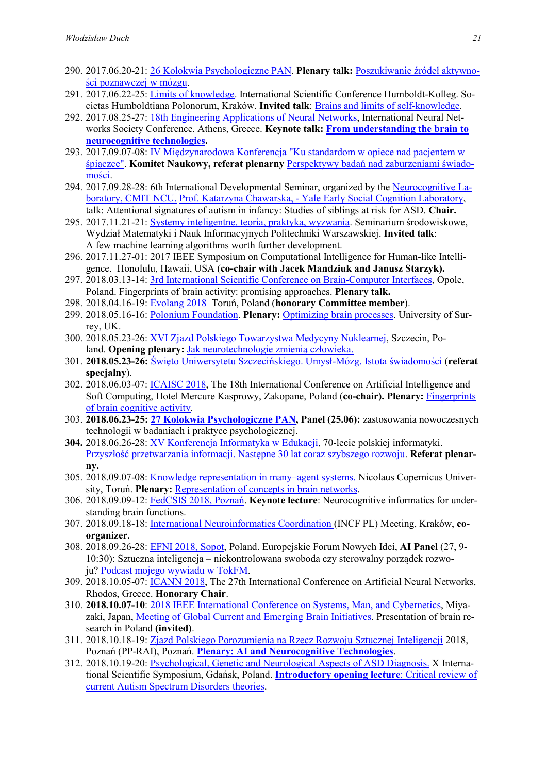- 290. 2017.06.20-21: 26 Kolokwia Psychologiczne PAN. Plenary talk: Poszukiwanie źródeł aktywności poznawczej w mózgu.
- 291. 2017.06.22-25: Limits of knowledge. International Scientific Conference Humboldt-Kolleg. Societas Humboldtiana Polonorum, Kraków. Invited talk: Brains and limits of self-knowledge.
- 292. 2017.08.25-27: 18th Engineering Applications of Neural Networks, International Neural Networks Society Conference. Athens, Greece. Keynote talk: From understanding the brain to neurocognitive technologies.
- 293. 2017.09.07-08: IV Międzynarodowa Konferencja "Ku standardom w opiece nad pacjentem w śpiączce". Komitet Naukowy, referat plenarny Perspektywy badań nad zaburzeniami świadomości.
- 294. 2017.09.28-28: 6th International Developmental Seminar, organized by the Neurocognitive Laboratory, CMIT NCU. Prof. Katarzyna Chawarska, - Yale Early Social Cognition Laboratory, talk: Attentional signatures of autism in infancy: Studies of siblings at risk for ASD. Chair.
- 295. 2017.11.21-21: Systemy inteligentne. teoria, praktyka, wyzwania. Seminarium środowiskowe, Wydział Matematyki i Nauk Informacyjnych Politechniki Warszawskiej. Invited talk: A few machine learning algorithms worth further development.
- 296. 2017.11.27-01: 2017 IEEE Symposium on Computational Intelligence for Human-like Intelligence. Honolulu, Hawaii, USA (co-chair with Jacek Mandziuk and Janusz Starzyk).
- 297. 2018.03.13-14: 3rd International Scientific Conference on Brain-Computer Interfaces, Opole, Poland. Fingerprints of brain activity: promising approaches. Plenary talk.
- 298. 2018.04.16-19: Evolang 2018 Toruń, Poland (honorary Committee member).
- 299. 2018.05.16-16: Polonium Foundation. Plenary: Optimizing brain processes. University of Surrey, UK.
- 300. 2018.05.23-26: XVI Zjazd Polskiego Towarzystwa Medycyny Nuklearnej, Szczecin, Poland. Opening plenary: Jak neurotechnologie zmienią człowieka.
- 301. 2018.05.23-26: Święto Uniwersytetu Szczecińskiego. Umysł-Mózg. Istota świadomości (referat specjalny).
- 302. 2018.06.03-07: ICAISC 2018, The 18th International Conference on Artificial Intelligence and Soft Computing, Hotel Mercure Kasprowy, Zakopane, Poland (co-chair). Plenary: Fingerprints of brain cognitive activity.
- 303. 2018.06.23-25: 27 Kolokwia Psychologiczne PAN, Panel (25.06): zastosowania nowoczesnych technologii w badaniach i praktyce psychologicznej.
- 304. 2018.06.26-28: XV Konferencja Informatyka w Edukacji, 70-lecie polskiej informatyki. Przyszłość przetwarzania informacji. Następne 30 lat coraz szybszego rozwoju. Referat plenarny.
- 305. 2018.09.07-08: Knowledge representation in many–agent systems. Nicolaus Copernicus University, Toruń. Plenary: Representation of concepts in brain networks.
- 306. 2018.09.09-12: FedCSIS 2018, Poznań. Keynote lecture: Neurocognitive informatics for understanding brain functions.
- 307. 2018.09.18-18: International Neuroinformatics Coordination (INCF PL) Meeting, Kraków, coorganizer.
- 308. 2018.09.26-28: EFNI 2018, Sopot, Poland. Europejskie Forum Nowych Idei, AI Panel (27, 9- 10:30): Sztuczna inteligencja – niekontrolowana swoboda czy sterowalny porządek rozwoju? Podcast mojego wywiadu w TokFM.
- 309. 2018.10.05-07: ICANN 2018, The 27th International Conference on Artificial Neural Networks, Rhodos, Greece. Honorary Chair.
- 310. 2018.10.07-10: 2018 IEEE International Conference on Systems, Man, and Cybernetics, Miyazaki, Japan, Meeting of Global Current and Emerging Brain Initiatives. Presentation of brain research in Poland (invited).
- 311. 2018.10.18-19: Zjazd Polskiego Porozumienia na Rzecz Rozwoju Sztucznej Inteligencji 2018, Poznań (PP-RAI), Poznań. Plenary: AI and Neurocognitive Technologies.
- 312. 2018.10.19-20: Psychological, Genetic and Neurological Aspects of ASD Diagnosis. X International Scientific Symposium, Gdańsk, Poland. Introductory opening lecture: Critical review of current Autism Spectrum Disorders theories.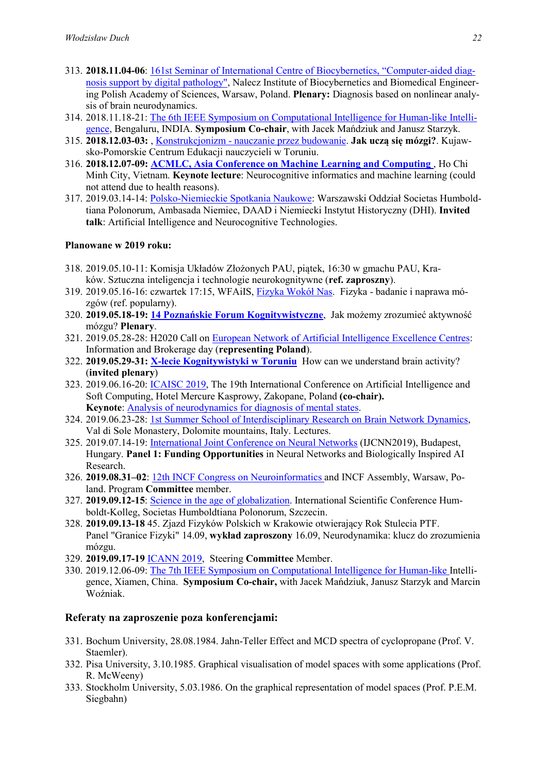- 313. 2018.11.04-06: 161st Seminar of International Centre of Biocybernetics, "Computer-aided diagnosis support by digital pathology", Nalecz Institute of Biocybernetics and Biomedical Engineering Polish Academy of Sciences, Warsaw, Poland. Plenary: Diagnosis based on nonlinear analysis of brain neurodynamics.
- 314. 2018.11.18-21: The 6th IEEE Symposium on Computational Intelligence for Human-like Intelligence, Bengaluru, INDIA. Symposium Co-chair, with Jacek Mańdziuk and Janusz Starzyk.
- 315. 2018.12.03-03: , Konstrukcjonizm nauczanie przez budowanie. Jak uczą się mózgi?. Kujawsko-Pomorskie Centrum Edukacji nauczycieli w Toruniu.
- 316. 2018.12.07-09: ACMLC, Asia Conference on Machine Learning and Computing , Ho Chi Minh City, Vietnam. Keynote lecture: Neurocognitive informatics and machine learning (could not attend due to health reasons).
- 317. 2019.03.14-14: Polsko-Niemieckie Spotkania Naukowe: Warszawski Oddział Societas Humboldtiana Polonorum, Ambasada Niemiec, DAAD i Niemiecki Instytut Historyczny (DHI). Invited talk: Artificial Intelligence and Neurocognitive Technologies.

#### Planowane w 2019 roku:

- 318. 2019.05.10-11: Komisja Układów Złożonych PAU, piątek, 16:30 w gmachu PAU, Kraków. Sztuczna inteligencja i technologie neurokognitywne (ref. zaproszny).
- 319. 2019.05.16-16: czwartek 17:15, WFAiIS, Fizyka Wokół Nas. Fizyka badanie i naprawa mózgów (ref. popularny).
- 320. 2019.05.18-19: 14 Poznańskie Forum Kognitywistyczne, Jak możemy zrozumieć aktywność mózgu? Plenary.
- 321. 2019.05.28-28: H2020 Call on European Network of Artificial Intelligence Excellence Centres: Information and Brokerage day (representing Poland).
- 322. 2019.05.29-31: X-lecie Kognitywistyki w Toruniu How can we understand brain activity? (invited plenary)
- 323. 2019.06.16-20: ICAISC 2019, The 19th International Conference on Artificial Intelligence and Soft Computing, Hotel Mercure Kasprowy, Zakopane, Poland (co-chair). Keynote: Analysis of neurodynamics for diagnosis of mental states.
- 324. 2019.06.23-28: 1st Summer School of Interdisciplinary Research on Brain Network Dynamics, Val di Sole Monastery, Dolomite mountains, Italy. Lectures.
- 325. 2019.07.14-19: International Joint Conference on Neural Networks (IJCNN2019), Budapest, Hungary. Panel 1: Funding Opportunities in Neural Networks and Biologically Inspired AI Research.
- 326. 2019.08.31–02: 12th INCF Congress on Neuroinformatics and INCF Assembly, Warsaw, Poland. Program Committee member.
- 327. 2019.09.12-15: Science in the age of globalization. International Scientific Conference Humboldt-Kolleg, Societas Humboldtiana Polonorum, Szczecin.
- 328. 2019.09.13-18 45. Zjazd Fizyków Polskich w Krakowie otwierający Rok Stulecia PTF. Panel "Granice Fizyki" 14.09, wykład zaproszony 16.09, Neurodynamika: klucz do zrozumienia mózgu.
- 329. 2019.09.17-19 ICANN 2019, Steering Committee Member.
- 330. 2019.12.06-09: The 7th IEEE Symposium on Computational Intelligence for Human-like Intelligence, Xiamen, China. Symposium Co-chair, with Jacek Mańdziuk, Janusz Starzyk and Marcin Woźniak.

## Referaty na zaproszenie poza konferencjami:

- 331. Bochum University, 28.08.1984. Jahn-Teller Effect and MCD spectra of cyclopropane (Prof. V. Staemler).
- 332. Pisa University, 3.10.1985. Graphical visualisation of model spaces with some applications (Prof. R. McWeeny)
- 333. Stockholm University, 5.03.1986. On the graphical representation of model spaces (Prof. P.E.M. Siegbahn)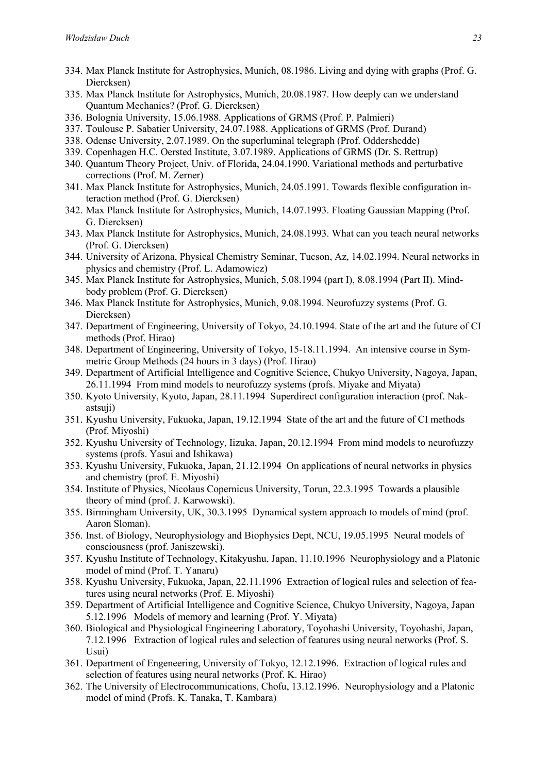- 334. Max Planck Institute for Astrophysics, Munich, 08.1986. Living and dying with graphs (Prof. G. Diercksen)
- 335. Max Planck Institute for Astrophysics, Munich, 20.08.1987. How deeply can we understand Quantum Mechanics? (Prof. G. Diercksen)
- 336. Bolognia University, 15.06.1988. Applications of GRMS (Prof. P. Palmieri)
- 337. Toulouse P. Sabatier University, 24.07.1988. Applications of GRMS (Prof. Durand)
- 338. Odense University, 2.07.1989. On the superluminal telegraph (Prof. Oddershedde)
- 339. Copenhagen H.C. Oersted Institute, 3.07.1989. Applications of GRMS (Dr. S. Rettrup)
- 340. Quantum Theory Project, Univ. of Florida, 24.04.1990. Variational methods and perturbative corrections (Prof. M. Zerner)
- 341. Max Planck Institute for Astrophysics, Munich, 24.05.1991. Towards flexible configuration interaction method (Prof. G. Diercksen)
- 342. Max Planck Institute for Astrophysics, Munich, 14.07.1993. Floating Gaussian Mapping (Prof. G. Diercksen)
- 343. Max Planck Institute for Astrophysics, Munich, 24.08.1993. What can you teach neural networks (Prof. G. Diercksen)
- 344. University of Arizona, Physical Chemistry Seminar, Tucson, Az, 14.02.1994. Neural networks in physics and chemistry (Prof. L. Adamowicz)
- 345. Max Planck Institute for Astrophysics, Munich, 5.08.1994 (part I), 8.08.1994 (Part II). Mindbody problem (Prof. G. Diercksen)
- 346. Max Planck Institute for Astrophysics, Munich, 9.08.1994. Neurofuzzy systems (Prof. G. Diercksen)
- 347. Department of Engineering, University of Tokyo, 24.10.1994. State of the art and the future of CI methods (Prof. Hirao)
- 348. Department of Engineering, University of Tokyo, 15-18.11.1994. An intensive course in Symmetric Group Methods (24 hours in 3 days) (Prof. Hirao)
- 349. Department of Artificial Intelligence and Cognitive Science, Chukyo University, Nagoya, Japan, 26.11.1994 From mind models to neurofuzzy systems (profs. Miyake and Miyata)
- 350. Kyoto University, Kyoto, Japan, 28.11.1994 Superdirect configuration interaction (prof. Nakastsuii)
- 351. Kyushu University, Fukuoka, Japan, 19.12.1994 State of the art and the future of CI methods (Prof. Miyoshi)
- 352. Kyushu University of Technology, Iizuka, Japan, 20.12.1994 From mind models to neurofuzzy systems (profs. Yasui and Ishikawa)
- 353. Kyushu University, Fukuoka, Japan, 21.12.1994 On applications of neural networks in physics and chemistry (prof. E. Miyoshi)
- 354. Institute of Physics, Nicolaus Copernicus University, Torun, 22.3.1995 Towards a plausible theory of mind (prof. J. Karwowski).
- 355. Birmingham University, UK, 30.3.1995 Dynamical system approach to models of mind (prof. Aaron Sloman).
- 356. Inst. of Biology, Neurophysiology and Biophysics Dept, NCU, 19.05.1995 Neural models of consciousness (prof. Janiszewski).
- 357. Kyushu Institute of Technology, Kitakyushu, Japan, 11.10.1996 Neurophysiology and a Platonic model of mind (Prof. T. Yanaru)
- 358. Kyushu University, Fukuoka, Japan, 22.11.1996 Extraction of logical rules and selection of features using neural networks (Prof. E. Miyoshi)
- 359. Department of Artificial Intelligence and Cognitive Science, Chukyo University, Nagoya, Japan 5.12.1996 Models of memory and learning (Prof. Y. Miyata)
- 360. Biological and Physiological Engineering Laboratory, Toyohashi University, Toyohashi, Japan, 7.12.1996 Extraction of logical rules and selection of features using neural networks (Prof. S. Usui)
- 361. Department of Engeneering, University of Tokyo, 12.12.1996. Extraction of logical rules and selection of features using neural networks (Prof. K. Hirao)
- 362. The University of Electrocommunications, Chofu, 13.12.1996. Neurophysiology and a Platonic model of mind (Profs. K. Tanaka, T. Kambara)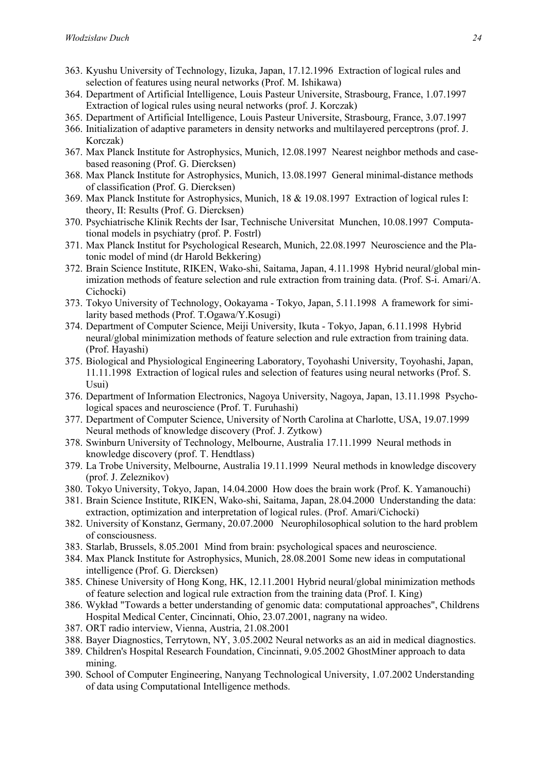- 363. Kyushu University of Technology, Iizuka, Japan, 17.12.1996 Extraction of logical rules and selection of features using neural networks (Prof. M. Ishikawa)
- 364. Department of Artificial Intelligence, Louis Pasteur Universite, Strasbourg, France, 1.07.1997 Extraction of logical rules using neural networks (prof. J. Korczak)
- 365. Department of Artificial Intelligence, Louis Pasteur Universite, Strasbourg, France, 3.07.1997
- 366. Initialization of adaptive parameters in density networks and multilayered perceptrons (prof. J. Korczak)
- 367. Max Planck Institute for Astrophysics, Munich, 12.08.1997 Nearest neighbor methods and casebased reasoning (Prof. G. Diercksen)
- 368. Max Planck Institute for Astrophysics, Munich, 13.08.1997 General minimal-distance methods of classification (Prof. G. Diercksen)
- 369. Max Planck Institute for Astrophysics, Munich, 18 & 19.08.1997 Extraction of logical rules I: theory, II: Results (Prof. G. Diercksen)
- 370. Psychiatrische Klinik Rechts der Isar, Technische Universitat Munchen, 10.08.1997 Computational models in psychiatry (prof. P. Fostrl)
- 371. Max Planck Institut for Psychological Research, Munich, 22.08.1997 Neuroscience and the Platonic model of mind (dr Harold Bekkering)
- 372. Brain Science Institute, RIKEN, Wako-shi, Saitama, Japan, 4.11.1998 Hybrid neural/global minimization methods of feature selection and rule extraction from training data. (Prof. S-i. Amari/A. Cichocki)
- 373. Tokyo University of Technology, Ookayama Tokyo, Japan, 5.11.1998 A framework for similarity based methods (Prof. T.Ogawa/Y.Kosugi)
- 374. Department of Computer Science, Meiji University, Ikuta Tokyo, Japan, 6.11.1998 Hybrid neural/global minimization methods of feature selection and rule extraction from training data. (Prof. Hayashi)
- 375. Biological and Physiological Engineering Laboratory, Toyohashi University, Toyohashi, Japan, 11.11.1998 Extraction of logical rules and selection of features using neural networks (Prof. S. Usui)
- 376. Department of Information Electronics, Nagoya University, Nagoya, Japan, 13.11.1998 Psychological spaces and neuroscience (Prof. T. Furuhashi)
- 377. Department of Computer Science, University of North Carolina at Charlotte, USA, 19.07.1999 Neural methods of knowledge discovery (Prof. J. Zytkow)
- 378. Swinburn University of Technology, Melbourne, Australia 17.11.1999 Neural methods in knowledge discovery (prof. T. Hendtlass)
- 379. La Trobe University, Melbourne, Australia 19.11.1999 Neural methods in knowledge discovery (prof. J. Zeleznikov)
- 380. Tokyo University, Tokyo, Japan, 14.04.2000 How does the brain work (Prof. K. Yamanouchi)
- 381. Brain Science Institute, RIKEN, Wako-shi, Saitama, Japan, 28.04.2000 Understanding the data: extraction, optimization and interpretation of logical rules. (Prof. Amari/Cichocki)
- 382. University of Konstanz, Germany, 20.07.2000 Neurophilosophical solution to the hard problem of consciousness.
- 383. Starlab, Brussels, 8.05.2001 Mind from brain: psychological spaces and neuroscience.
- 384. Max Planck Institute for Astrophysics, Munich, 28.08.2001 Some new ideas in computational intelligence (Prof. G. Diercksen)
- 385. Chinese University of Hong Kong, HK, 12.11.2001 Hybrid neural/global minimization methods of feature selection and logical rule extraction from the training data (Prof. I. King)
- 386. Wykład "Towards a better understanding of genomic data: computational approaches", Childrens Hospital Medical Center, Cincinnati, Ohio, 23.07.2001, nagrany na wideo.
- 387. ORT radio interview, Vienna, Austria, 21.08.2001
- 388. Bayer Diagnostics, Terrytown, NY, 3.05.2002 Neural networks as an aid in medical diagnostics.
- 389. Children's Hospital Research Foundation, Cincinnati, 9.05.2002 GhostMiner approach to data mining.
- 390. School of Computer Engineering, Nanyang Technological University, 1.07.2002 Understanding of data using Computational Intelligence methods.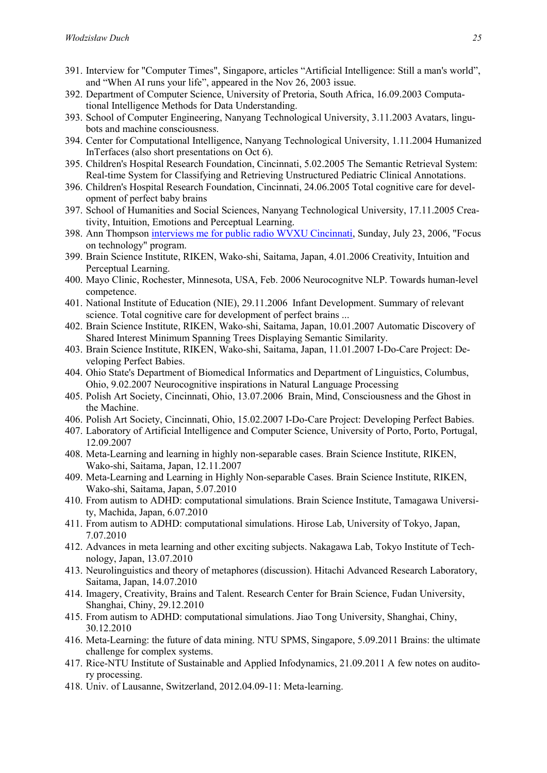- 391. Interview for "Computer Times", Singapore, articles "Artificial Intelligence: Still a man's world", and "When AI runs your life", appeared in the Nov 26, 2003 issue.
- 392. Department of Computer Science, University of Pretoria, South Africa, 16.09.2003 Computational Intelligence Methods for Data Understanding.
- 393. School of Computer Engineering, Nanyang Technological University, 3.11.2003 Avatars, lingubots and machine consciousness.
- 394. Center for Computational Intelligence, Nanyang Technological University, 1.11.2004 Humanized InTerfaces (also short presentations on Oct 6).
- 395. Children's Hospital Research Foundation, Cincinnati, 5.02.2005 The Semantic Retrieval System: Real-time System for Classifying and Retrieving Unstructured Pediatric Clinical Annotations.
- 396. Children's Hospital Research Foundation, Cincinnati, 24.06.2005 Total cognitive care for development of perfect baby brains
- 397. School of Humanities and Social Sciences, Nanyang Technological University, 17.11.2005 Creativity, Intuition, Emotions and Perceptual Learning.
- 398. Ann Thompson interviews me for public radio WVXU Cincinnati, Sunday, July 23, 2006, "Focus on technology" program.
- 399. Brain Science Institute, RIKEN, Wako-shi, Saitama, Japan, 4.01.2006 Creativity, Intuition and Perceptual Learning.
- 400. Mayo Clinic, Rochester, Minnesota, USA, Feb. 2006 Neurocognitve NLP. Towards human-level competence.
- 401. National Institute of Education (NIE), 29.11.2006 Infant Development. Summary of relevant science. Total cognitive care for development of perfect brains ...
- 402. Brain Science Institute, RIKEN, Wako-shi, Saitama, Japan, 10.01.2007 Automatic Discovery of Shared Interest Minimum Spanning Trees Displaying Semantic Similarity.
- 403. Brain Science Institute, RIKEN, Wako-shi, Saitama, Japan, 11.01.2007 I-Do-Care Project: Developing Perfect Babies.
- 404. Ohio State's Department of Biomedical Informatics and Department of Linguistics, Columbus, Ohio, 9.02.2007 Neurocognitive inspirations in Natural Language Processing
- 405. Polish Art Society, Cincinnati, Ohio, 13.07.2006 Brain, Mind, Consciousness and the Ghost in the Machine.
- 406. Polish Art Society, Cincinnati, Ohio, 15.02.2007 I-Do-Care Project: Developing Perfect Babies.
- 407. Laboratory of Artificial Intelligence and Computer Science, University of Porto, Porto, Portugal, 12.09.2007
- 408. Meta-Learning and learning in highly non-separable cases. Brain Science Institute, RIKEN, Wako-shi, Saitama, Japan, 12.11.2007
- 409. Meta-Learning and Learning in Highly Non-separable Cases. Brain Science Institute, RIKEN, Wako-shi, Saitama, Japan, 5.07.2010
- 410. From autism to ADHD: computational simulations. Brain Science Institute, Tamagawa University, Machida, Japan, 6.07.2010
- 411. From autism to ADHD: computational simulations. Hirose Lab, University of Tokyo, Japan, 7.07.2010
- 412. Advances in meta learning and other exciting subjects. Nakagawa Lab, Tokyo Institute of Technology, Japan, 13.07.2010
- 413. Neurolinguistics and theory of metaphores (discussion). Hitachi Advanced Research Laboratory, Saitama, Japan, 14.07.2010
- 414. Imagery, Creativity, Brains and Talent. Research Center for Brain Science, Fudan University, Shanghai, Chiny, 29.12.2010
- 415. From autism to ADHD: computational simulations. Jiao Tong University, Shanghai, Chiny, 30.12.2010
- 416. Meta-Learning: the future of data mining. NTU SPMS, Singapore, 5.09.2011 Brains: the ultimate challenge for complex systems.
- 417. Rice-NTU Institute of Sustainable and Applied Infodynamics, 21.09.2011 A few notes on auditory processing.
- 418. Univ. of Lausanne, Switzerland, 2012.04.09-11: Meta-learning.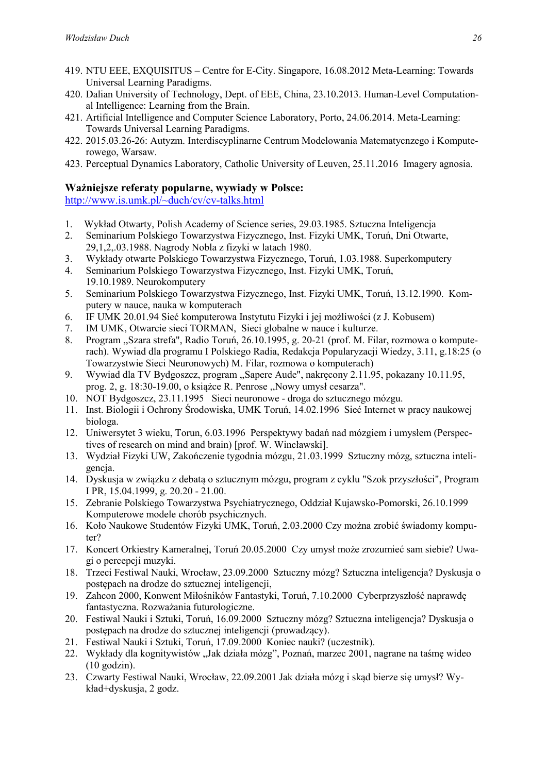- 419. NTU EEE, EXQUISITUS Centre for E-City. Singapore, 16.08.2012 Meta-Learning: Towards Universal Learning Paradigms.
- 420. Dalian University of Technology, Dept. of EEE, China, 23.10.2013. Human-Level Computational Intelligence: Learning from the Brain.
- 421. Artificial Intelligence and Computer Science Laboratory, Porto, 24.06.2014. Meta-Learning: Towards Universal Learning Paradigms.
- 422. 2015.03.26-26: Autyzm. Interdiscyplinarne Centrum Modelowania Matematycnzego i Komputerowego, Warsaw.
- 423. Perceptual Dynamics Laboratory, Catholic University of Leuven, 25.11.2016 Imagery agnosia.

#### Ważniejsze referaty popularne, wywiady w Polsce:

http://www.is.umk.pl/~duch/cv/cv-talks.html

- 1. Wykład Otwarty, Polish Academy of Science series, 29.03.1985. Sztuczna Inteligencja
- 2. Seminarium Polskiego Towarzystwa Fizycznego, Inst. Fizyki UMK, Toruń, Dni Otwarte, 29,1,2,.03.1988. Nagrody Nobla z fizyki w latach 1980.
- 3. Wykłady otwarte Polskiego Towarzystwa Fizycznego, Toruń, 1.03.1988. Superkomputery
- 4. Seminarium Polskiego Towarzystwa Fizycznego, Inst. Fizyki UMK, Toruń, 19.10.1989. Neurokomputery
- 5. Seminarium Polskiego Towarzystwa Fizycznego, Inst. Fizyki UMK, Toruń, 13.12.1990. Komputery w nauce, nauka w komputerach
- 6. IF UMK 20.01.94 Sieć komputerowa Instytutu Fizyki i jej możliwości (z J. Kobusem)
- 7. IM UMK, Otwarcie sieci TORMAN, Sieci globalne w nauce i kulturze.
- 8. Program ,,Szara strefa", Radio Toruń, 26.10.1995, g. 20-21 (prof. M. Filar, rozmowa o komputerach). Wywiad dla programu I Polskiego Radia, Redakcja Popularyzacji Wiedzy, 3.11, g.18:25 (o Towarzystwie Sieci Neuronowych) M. Filar, rozmowa o komputerach)
- 9. Wywiad dla TV Bydgoszcz, program ,,Sapere Aude", nakręcony 2.11.95, pokazany 10.11.95, prog. 2, g. 18:30-19.00, o książce R. Penrose ,,Nowy umysł cesarza".
- 10. NOT Bydgoszcz, 23.11.1995 Sieci neuronowe droga do sztucznego mózgu.
- 11. Inst. Biologii i Ochrony Środowiska, UMK Toruń, 14.02.1996 Sieć Internet w pracy naukowej biologa.
- 12. Uniwersytet 3 wieku, Torun, 6.03.1996 Perspektywy badań nad mózgiem i umysłem (Perspectives of research on mind and brain) [prof. W. Wincławski].
- 13. Wydział Fizyki UW, Zakończenie tygodnia mózgu, 21.03.1999 Sztuczny mózg, sztuczna inteligencja.
- 14. Dyskusja w związku z debatą o sztucznym mózgu, program z cyklu "Szok przyszłości", Program I PR, 15.04.1999, g. 20.20 - 21.00.
- 15. Zebranie Polskiego Towarzystwa Psychiatrycznego, Oddział Kujawsko-Pomorski, 26.10.1999 Komputerowe modele chorób psychicznych.
- 16. Koło Naukowe Studentów Fizyki UMK, Toruń, 2.03.2000 Czy można zrobić świadomy komputer?
- 17. Koncert Orkiestry Kameralnej, Toruń 20.05.2000 Czy umysł może zrozumieć sam siebie? Uwagi o percepcji muzyki.
- 18. Trzeci Festiwal Nauki, Wrocław, 23.09.2000 Sztuczny mózg? Sztuczna inteligencja? Dyskusja o postępach na drodze do sztucznej inteligencji,
- 19. Zahcon 2000, Konwent Miłośników Fantastyki, Toruń, 7.10.2000 Cyberprzyszłość naprawdę fantastyczna. Rozważania futurologiczne.
- 20. Festiwal Nauki i Sztuki, Toruń, 16.09.2000 Sztuczny mózg? Sztuczna inteligencja? Dyskusja o postępach na drodze do sztucznej inteligencji (prowadzący).
- 21. Festiwal Nauki i Sztuki, Toruń, 17.09.2000 Koniec nauki? (uczestnik).
- 22. Wykłady dla kognitywistów "Jak działa mózg", Poznań, marzec 2001, nagrane na taśmę wideo  $(10 \text{ godzin}).$
- 23. Czwarty Festiwal Nauki, Wrocław, 22.09.2001 Jak działa mózg i skąd bierze się umysł? Wykład+dyskusja, 2 godz.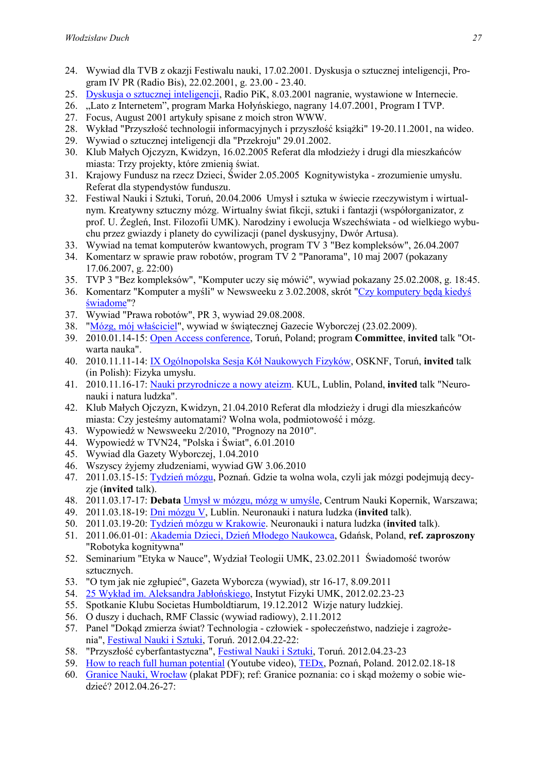- 24. Wywiad dla TVB z okazji Festiwalu nauki, 17.02.2001. Dyskusja o sztucznej inteligencji, Program IV PR (Radio Bis), 22.02.2001, g. 23.00 - 23.40.
- 25. Dyskusja o sztucznej inteligencji, Radio PiK, 8.03.2001 nagranie, wystawione w Internecie.
- 26. "Lato z Internetem", program Marka Hołyńskiego, nagrany 14.07.2001, Program I TVP.
- 27. Focus, August 2001 artykuły spisane z moich stron WWW.
- 28. Wykład "Przyszłość technologii informacyjnych i przyszłość książki" 19-20.11.2001, na wideo.
- 29. Wywiad o sztucznej inteligencji dla "Przekroju" 29.01.2002.
- 30. Klub Małych Ojczyzn, Kwidzyn, 16.02.2005 Referat dla młodzieży i drugi dla mieszkańców miasta: Trzy projekty, które zmienią świat.
- 31. Krajowy Fundusz na rzecz Dzieci, Świder 2.05.2005 Kognitywistyka zrozumienie umysłu. Referat dla stypendystów funduszu.
- 32. Festiwal Nauki i Sztuki, Toruń, 20.04.2006 Umysł i sztuka w świecie rzeczywistym i wirtualnym. Kreatywny sztuczny mózg. Wirtualny świat fikcji, sztuki i fantazji (współorganizator, z prof. U. Żegleń, Inst. Filozofii UMK). Narodziny i ewolucja Wszechświata - od wielkiego wybuchu przez gwiazdy i planety do cywilizacji (panel dyskusyjny, Dwór Artusa).
- 33. Wywiad na temat komputerów kwantowych, program TV 3 "Bez kompleksów", 26.04.2007
- 34. Komentarz w sprawie praw robotów, program TV 2 "Panorama", 10 maj 2007 (pokazany 17.06.2007, g. 22:00)
- 35. TVP 3 "Bez kompleksów", "Komputer uczy się mówić", wywiad pokazany 25.02.2008, g. 18:45.
- 36. Komentarz "Komputer a myśli" w Newsweeku z 3.02.2008, skrót "Czy komputery będą kiedyś świadome"?
- 37. Wywiad "Prawa robotów", PR 3, wywiad 29.08.2008.
- 38. "Mózg, mój właściciel", wywiad w świątecznej Gazecie Wyborczej (23.02.2009).
- 39. 2010.01.14-15: Open Access conference, Toruń, Poland; program Committee, invited talk "Otwarta nauka".
- 40. 2010.11.11-14: IX Ogólnopolska Sesja Kół Naukowych Fizyków, OSKNF, Toruń, invited talk (in Polish): Fizyka umysłu.
- 41. 2010.11.16-17: Nauki przyrodnicze a nowy ateizm. KUL, Lublin, Poland, invited talk "Neuronauki i natura ludzka".
- 42. Klub Małych Ojczyzn, Kwidzyn, 21.04.2010 Referat dla młodzieży i drugi dla mieszkańców miasta: Czy jesteśmy automatami? Wolna wola, podmiotowość i mózg.
- 43. Wypowiedź w Newsweeku 2/2010, "Prognozy na 2010".
- 44. Wypowiedź w TVN24, "Polska i Świat", 6.01.2010
- 45. Wywiad dla Gazety Wyborczej, 1.04.2010
- 46. Wszyscy żyjemy złudzeniami, wywiad GW 3.06.2010
- 47. 2011.03.15-15: Tydzień mózgu, Poznań. Gdzie ta wolna wola, czyli jak mózgi podejmują decyzie (invited talk).
- 48. 2011.03.17-17: Debata Umysł w mózgu, mózg w umyśle, Centrum Nauki Kopernik, Warszawa;
- 49. 2011.03.18-19: Dni mózgu V, Lublin. Neuronauki i natura ludzka (invited talk).
- 50. 2011.03.19-20: Tydzień mózgu w Krakowie. Neuronauki i natura ludzka (invited talk).
- 51. 2011.06.01-01: Akademia Dzieci, Dzień Młodego Naukowca, Gdańsk, Poland, ref. zaproszony "Robotyka kognitywna"
- 52. Seminarium "Etyka w Nauce", Wydział Teologii UMK, 23.02.2011 Świadomość tworów sztucznych.
- 53. "O tym jak nie zgłupieć", Gazeta Wyborcza (wywiad), str 16-17, 8.09.2011
- 54. 25 Wykład im. Aleksandra Jabłońskiego, Instytut Fizyki UMK, 2012.02.23-23
- 55. Spotkanie Klubu Societas Humboldtiarum, 19.12.2012 Wizje natury ludzkiej.
- 56. O duszy i duchach, RMF Classic (wywiad radiowy), 2.11.2012
- 57. Panel "Dokąd zmierza świat? Technologia człowiek społeczeństwo, nadzieje i zagrożenia", Festiwal Nauki i Sztuki, Toruń. 2012.04.22-22:
- 58. "Przyszłość cyberfantastyczna", Festiwal Nauki i Sztuki, Toruń. 2012.04.23-23
- 59. How to reach full human potential (Youtube video), TEDx, Poznań, Poland. 2012.02.18-18
- 60. Granice Nauki, Wrocław (plakat PDF); ref: Granice poznania: co i skąd możemy o sobie wiedzieć? 2012.04.26-27: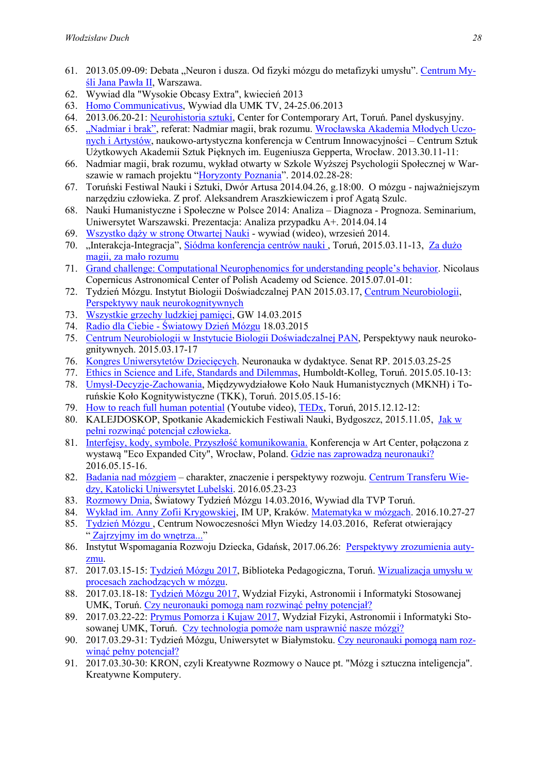- 61. 2013.05.09-09: Debata "Neuron i dusza. Od fizyki mózgu do metafizyki umysłu". Centrum Myśli Jana Pawła II, Warszawa.
- 62. Wywiad dla "Wysokie Obcasy Extra", kwiecień 2013
- 63. Homo Communicativus, Wywiad dla UMK TV, 24-25.06.2013
- 64. 2013.06.20-21: Neurohistoria sztuki, Center for Contemporary Art, Toruń. Panel dyskusyjny.
- 65. "Nadmiar i brak", referat: Nadmiar magii, brak rozumu. Wrocławska Akademia Młodych Uczonych i Artystów, naukowo-artystyczna konferencja w Centrum Innowacyjności – Centrum Sztuk Użytkowych Akademii Sztuk Pięknych im. Eugeniusza Gepperta, Wrocław. 2013.30.11-11:
- 66. Nadmiar magii, brak rozumu, wykład otwarty w Szkole Wyższej Psychologii Społecznej w Warszawie w ramach projektu "Horyzonty Poznania". 2014.02.28-28:
- 67. Toruński Festiwal Nauki i Sztuki, Dwór Artusa 2014.04.26, g.18:00. O mózgu najważniejszym narzędziu człowieka. Z prof. Aleksandrem Araszkiewiczem i prof Agatą Szulc.
- 68. Nauki Humanistyczne i Społeczne w Polsce 2014: Analiza Diagnoza Prognoza. Seminarium, Uniwersytet Warszawski. Prezentacja: Analiza przypadku A+. 2014.04.14
- 69. Wszystko dąży w stronę Otwartej Nauki wywiad (wideo), wrzesień 2014.
- 70. "Interakcja-Integracja", Siódma konferencja centrów nauki, Toruń, 2015.03.11-13, Za dużo magii, za mało rozumu
- 71. Grand challenge: Computational Neurophenomics for understanding people's behavior. Nicolaus Copernicus Astronomical Center of Polish Academy od Science. 2015.07.01-01:
- 72. Tydzień Mózgu. Instytut Biologii Doświadczalnej PAN 2015.03.17, Centrum Neurobiologii, Perspektywy nauk neurokognitywnych
- 73. Wszystkie grzechy ludzkiej pamięci, GW 14.03.2015
- 74. Radio dla Ciebie Światowy Dzień Mózgu 18.03.2015
- 75. Centrum Neurobiologii w Instytucie Biologii Doświadczalnej PAN, Perspektywy nauk neurokognitywnych. 2015.03.17-17
- 76. Kongres Uniwersytetów Dziecięcych. Neuronauka w dydaktyce. Senat RP. 2015.03.25-25
- 77. Ethics in Science and Life, Standards and Dilemmas, Humboldt-Kolleg, Toruń. 2015.05.10-13:
- 78. Umysł-Decyzje-Zachowania, Międzywydziałowe Koło Nauk Humanistycznych (MKNH) i Toruńskie Koło Kognitywistyczne (TKK), Toruń. 2015.05.15-16:
- 79. How to reach full human potential (Youtube video), TEDx, Toruń, 2015.12.12-12:
- 80. KALEJDOSKOP, Spotkanie Akademickich Festiwali Nauki, Bydgoszcz, 2015.11.05, Jak w pełni rozwinąć potencjał człowieka.
- 81. Interfejsy, kody, symbole. Przyszłość komunikowania. Konferencja w Art Center, połączona z wystawą "Eco Expanded City", Wrocław, Poland. Gdzie nas zaprowadzą neuronauki? 2016.05.15-16.
- 82. Badania nad mózgiem charakter, znaczenie i perspektywy rozwoju. Centrum Transferu Wiedzy, Katolicki Uniwersytet Lubelski. 2016.05.23-23
- 83. Rozmowy Dnia, Światowy Tydzień Mózgu 14.03.2016, Wywiad dla TVP Toruń.
- 84. Wykład im. Anny Zofii Krygowskiej, IM UP, Kraków. Matematyka w mózgach. 2016.10.27-27
- 85. Tydzień Mózgu , Centrum Nowoczesności Młyn Wiedzy 14.03.2016, Referat otwierający " Zajrzyjmy im do wnętrza..."
- 86. Instytut Wspomagania Rozwoju Dziecka, Gdańsk, 2017.06.26: Perspektywy zrozumienia autyzmu.
- 87. 2017.03.15-15: Tydzień Mózgu 2017, Biblioteka Pedagogiczna, Toruń. Wizualizacja umysłu w procesach zachodzących w mózgu.
- 88. 2017.03.18-18: Tydzień Mózgu 2017, Wydział Fizyki, Astronomii i Informatyki Stosowanej UMK, Toruń. Czy neuronauki pomogą nam rozwinąć pełny potencjał?
- 89. 2017.03.22-22: Prymus Pomorza i Kujaw 2017, Wydział Fizyki, Astronomii i Informatyki Stosowanej UMK, Toruń. Czy technologia pomoże nam usprawnić nasze mózgi?
- 90. 2017.03.29-31: Tydzień Mózgu, Uniwersytet w Białymstoku. Czy neuronauki pomogą nam rozwinąć pełny potencjał?
- 91. 2017.03.30-30: KRON, czyli Kreatywne Rozmowy o Nauce pt. "Mózg i sztuczna inteligencja". Kreatywne Komputery.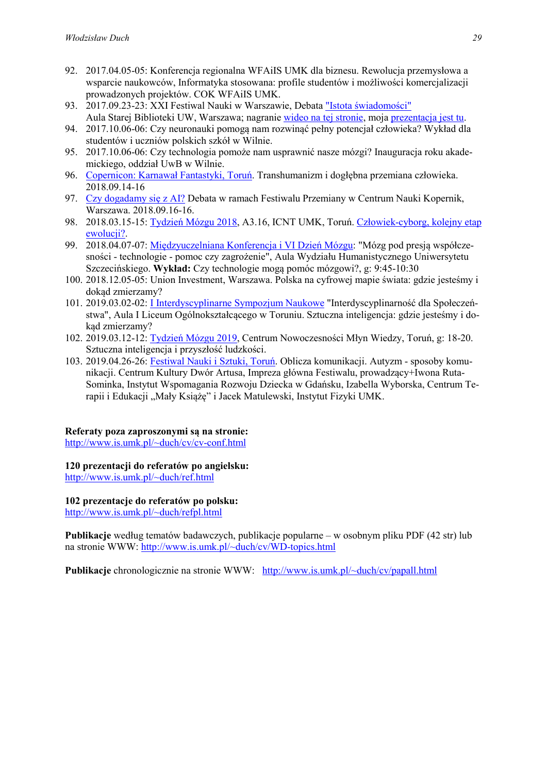- 92. 2017.04.05-05: Konferencja regionalna WFAiIS UMK dla biznesu. Rewolucja przemysłowa a wsparcie naukowców, Informatyka stosowana: profile studentów i możliwości komercjalizacji prowadzonych projektów. COK WFAiIS UMK.
- 93. 2017.09.23-23: XXI Festiwal Nauki w Warszawie, Debata "Istota świadomości" Aula Starej Biblioteki UW, Warszawa; nagranie wideo na tej stronie, moja prezentacja jest tu.
- 94. 2017.10.06-06: Czy neuronauki pomogą nam rozwinąć pełny potencjał człowieka? Wykład dla studentów i uczniów polskich szkół w Wilnie.
- 95. 2017.10.06-06: Czy technologia pomoże nam usprawnić nasze mózgi? Inauguracja roku akademickiego, oddział UwB w Wilnie.
- 96. Copernicon: Karnawał Fantastyki, Toruń. Transhumanizm i dogłębna przemiana człowieka. 2018.09.14-16
- 97. Czy dogadamy się z AI? Debata w ramach Festiwalu Przemiany w Centrum Nauki Kopernik, Warszawa. 2018.09.16-16.
- 98. 2018.03.15-15: Tydzień Mózgu 2018, A3.16, ICNT UMK, Toruń. Człowiek-cyborg, kolejny etap ewolucji?.
- 99. 2018.04.07-07: Międzyuczelniana Konferencja i VI Dzień Mózgu: "Mózg pod presją współczesności - technologie - pomoc czy zagrożenie", Aula Wydziału Humanistycznego Uniwersytetu Szczecińskiego. Wykład: Czy technologie mogą pomóc mózgowi?, g: 9:45-10:30
- 100. 2018.12.05-05: Union Investment, Warszawa. Polska na cyfrowej mapie świata: gdzie jesteśmy i dokąd zmierzamy?
- 101. 2019.03.02-02: I Interdyscyplinarne Sympozjum Naukowe "Interdyscyplinarność dla Społeczeństwa", Aula I Liceum Ogólnokształcącego w Toruniu. Sztuczna inteligencja: gdzie jesteśmy i dokąd zmierzamy?
- 102. 2019.03.12-12: Tydzień Mózgu 2019, Centrum Nowoczesności Młyn Wiedzy, Toruń, g: 18-20. Sztuczna inteligencja i przyszłość ludzkości.
- 103. 2019.04.26-26: Festiwal Nauki i Sztuki, Toruń. Oblicza komunikacji. Autyzm sposoby komunikacji. Centrum Kultury Dwór Artusa, Impreza główna Festiwalu, prowadzący+Iwona Ruta-Sominka, Instytut Wspomagania Rozwoju Dziecka w Gdańsku, Izabella Wyborska, Centrum Terapii i Edukacji "Mały Książę" i Jacek Matulewski, Instytut Fizyki UMK.

## Referaty poza zaproszonymi są na stronie:

http://www.is.umk.pl/~duch/cv/cv-conf.html

120 prezentacji do referatów po angielsku: http://www.is.umk.pl/~duch/ref.html

#### 102 prezentacje do referatów po polsku: http://www.is.umk.pl/~duch/refpl.html

Publikacje według tematów badawczych, publikacje popularne – w osobnym pliku PDF (42 str) lub na stronie WWW: http://www.is.umk.pl/~duch/cv/WD-topics.html

Publikacje chronologicznie na stronie WWW: http://www.is.umk.pl/~duch/cv/papall.html